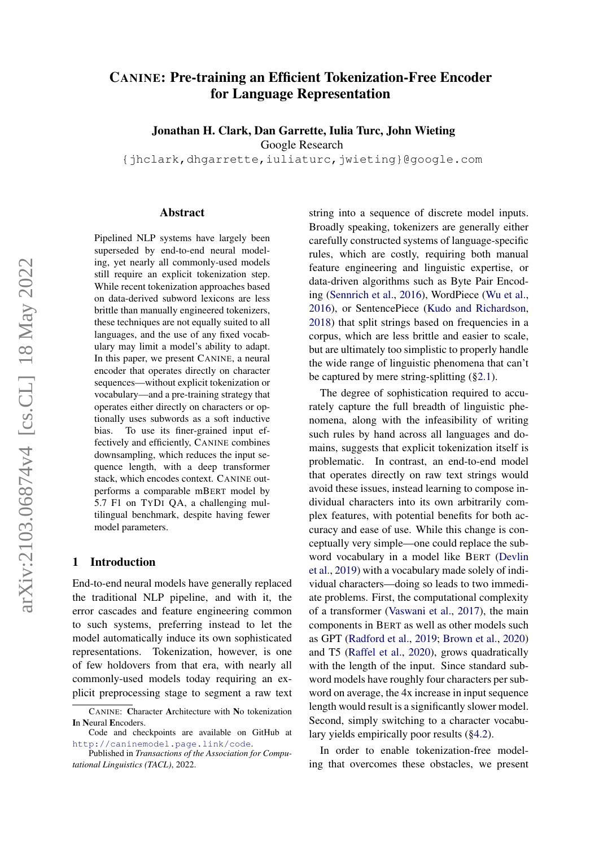# CANINE: Pre-training an Efficient Tokenization-Free Encoder for Language Representation

Jonathan H. Clark, Dan Garrette, Iulia Turc, John Wieting

Google Research

{jhclark,dhgarrette,iuliaturc,jwieting}@google.com

#### Abstract

Pipelined NLP systems have largely been superseded by end-to-end neural modeling, yet nearly all commonly-used models still require an explicit tokenization step. While recent tokenization approaches based on data-derived subword lexicons are less brittle than manually engineered tokenizers, these techniques are not equally suited to all languages, and the use of any fixed vocabulary may limit a model's ability to adapt. In this paper, we present CANINE, a neural encoder that operates directly on character sequences—without explicit tokenization or vocabulary—and a pre-training strategy that operates either directly on characters or optionally uses subwords as a soft inductive bias. To use its finer-grained input effectively and efficiently, CANINE combines downsampling, which reduces the input sequence length, with a deep transformer stack, which encodes context. CANINE outperforms a comparable mBERT model by 5.7 F1 on TYDI QA, a challenging multilingual benchmark, despite having fewer model parameters.

#### 1 Introduction

End-to-end neural models have generally replaced the traditional NLP pipeline, and with it, the error cascades and feature engineering common to such systems, preferring instead to let the model automatically induce its own sophisticated representations. Tokenization, however, is one of few holdovers from that era, with nearly all commonly-used models today requiring an explicit preprocessing stage to segment a raw text

string into a sequence of discrete model inputs. Broadly speaking, tokenizers are generally either carefully constructed systems of language-specific rules, which are costly, requiring both manual feature engineering and linguistic expertise, or data-driven algorithms such as Byte Pair Encoding [\(Sennrich et al.,](#page-14-0) [2016\)](#page-14-0), WordPiece [\(Wu et al.,](#page-15-0) [2016\)](#page-15-0), or SentencePiece [\(Kudo and Richardson,](#page-13-0) [2018\)](#page-13-0) that split strings based on frequencies in a corpus, which are less brittle and easier to scale, but are ultimately too simplistic to properly handle the wide range of linguistic phenomena that can't be captured by mere string-splitting ([§2.1\)](#page-1-0).

The degree of sophistication required to accurately capture the full breadth of linguistic phenomena, along with the infeasibility of writing such rules by hand across all languages and domains, suggests that explicit tokenization itself is problematic. In contrast, an end-to-end model that operates directly on raw text strings would avoid these issues, instead learning to compose individual characters into its own arbitrarily complex features, with potential benefits for both accuracy and ease of use. While this change is conceptually very simple—one could replace the subword vocabulary in a model like BERT [\(Devlin](#page-13-1) [et al.,](#page-13-1) [2019\)](#page-13-1) with a vocabulary made solely of individual characters—doing so leads to two immediate problems. First, the computational complexity of a transformer [\(Vaswani et al.,](#page-15-1) [2017\)](#page-15-1), the main components in BERT as well as other models such as GPT [\(Radford et al.,](#page-14-1) [2019;](#page-14-1) [Brown et al.,](#page-12-0) [2020\)](#page-12-0) and T5 [\(Raffel et al.,](#page-14-2) [2020\)](#page-14-2), grows quadratically with the length of the input. Since standard subword models have roughly four characters per subword on average, the 4x increase in input sequence length would result is a significantly slower model. Second, simply switching to a character vocabulary yields empirically poor results ([§4.2\)](#page-7-0).

In order to enable tokenization-free modeling that overcomes these obstacles, we present

CANINE: Character Architecture with No tokenization In Neural Encoders.

Code and checkpoints are available on GitHub at <http://caninemodel.page.link/code>.

Published in *Transactions of the Association for Computational Linguistics (TACL)*, 2022.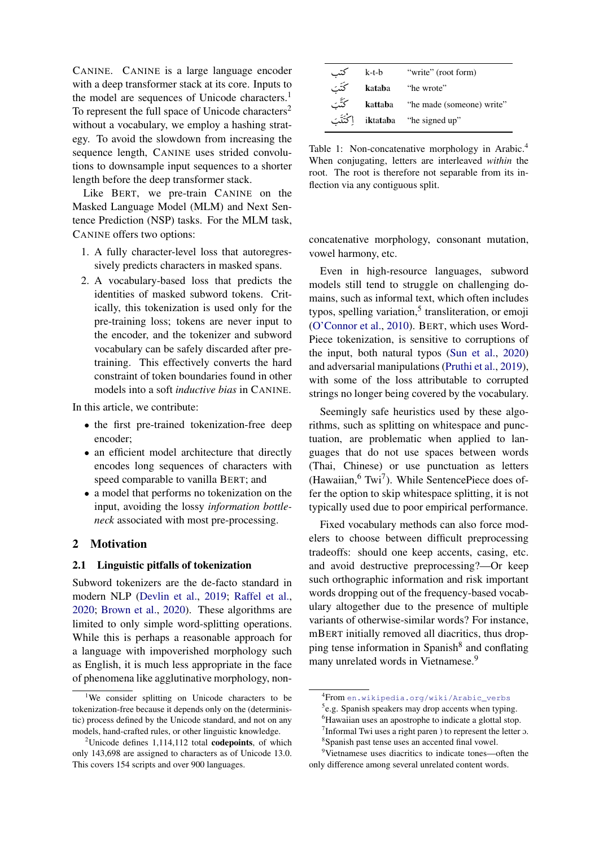CANINE. CANINE is a large language encoder with a deep transformer stack at its core. Inputs to the model are sequences of Unicode characters.<sup>1</sup> To represent the full space of Unicode characters<sup>2</sup> without a vocabulary, we employ a hashing strategy. To avoid the slowdown from increasing the sequence length, CANINE uses strided convolutions to downsample input sequences to a shorter length before the deep transformer stack.

Like BERT, we pre-train CANINE on the Masked Language Model (MLM) and Next Sentence Prediction (NSP) tasks. For the MLM task, CANINE offers two options:

- 1. A fully character-level loss that autoregressively predicts characters in masked spans.
- 2. A vocabulary-based loss that predicts the identities of masked subword tokens. Critically, this tokenization is used only for the pre-training loss; tokens are never input to the encoder, and the tokenizer and subword vocabulary can be safely discarded after pretraining. This effectively converts the hard constraint of token boundaries found in other models into a soft *inductive bias* in CANINE.

In this article, we contribute:

- the first pre-trained tokenization-free deep encoder;
- an efficient model architecture that directly encodes long sequences of characters with speed comparable to vanilla BERT; and
- a model that performs no tokenization on the input, avoiding the lossy *information bottleneck* associated with most pre-processing.

# 2 Motivation

# <span id="page-1-0"></span>2.1 Linguistic pitfalls of tokenization

Subword tokenizers are the de-facto standard in modern NLP [\(Devlin et al.,](#page-13-1) [2019;](#page-13-1) [Raffel et al.,](#page-14-2) [2020;](#page-14-2) [Brown et al.,](#page-12-0) [2020\)](#page-12-0). These algorithms are limited to only simple word-splitting operations. While this is perhaps a reasonable approach for a language with impoverished morphology such as English, it is much less appropriate in the face of phenomena like agglutinative morphology, non-

| كتب       | k-t-b  | "write" (root form)                      |
|-----------|--------|------------------------------------------|
| كَتَت     | kataba | "he wrote"                               |
| كَتَّبَ   |        | <b>kattaba</b> "he made (someone) write" |
| اكْتَتَبَ |        | iktataba "he signed up"                  |

Table 1: Non-concatenative morphology in Arabic.<sup>4</sup> When conjugating, letters are interleaved *within* the root. The root is therefore not separable from its inflection via any contiguous split.

concatenative morphology, consonant mutation, vowel harmony, etc.

Even in high-resource languages, subword models still tend to struggle on challenging domains, such as informal text, which often includes typos, spelling variation,<sup>5</sup> transliteration, or emoji [\(O'Connor et al.,](#page-14-3) [2010\)](#page-14-3). BERT, which uses Word-Piece tokenization, is sensitive to corruptions of the input, both natural typos [\(Sun et al.,](#page-14-4) [2020\)](#page-14-4) and adversarial manipulations [\(Pruthi et al.,](#page-14-5) [2019\)](#page-14-5), with some of the loss attributable to corrupted strings no longer being covered by the vocabulary.

Seemingly safe heuristics used by these algorithms, such as splitting on whitespace and punctuation, are problematic when applied to languages that do not use spaces between words (Thai, Chinese) or use punctuation as letters (Hawaiian,  $6$  Twi<sup>7</sup>). While SentencePiece does offer the option to skip whitespace splitting, it is not typically used due to poor empirical performance.

Fixed vocabulary methods can also force modelers to choose between difficult preprocessing tradeoffs: should one keep accents, casing, etc. and avoid destructive preprocessing?—Or keep such orthographic information and risk important words dropping out of the frequency-based vocabulary altogether due to the presence of multiple variants of otherwise-similar words? For instance, mBERT initially removed all diacritics, thus dropping tense information in Spanish<sup>8</sup> and conflating many unrelated words in Vietnamese.<sup>9</sup>

<sup>&</sup>lt;sup>1</sup>We consider splitting on Unicode characters to be tokenization-free because it depends only on the (deterministic) process defined by the Unicode standard, and not on any models, hand-crafted rules, or other linguistic knowledge.

<sup>&</sup>lt;sup>2</sup>Unicode defines 1,114,112 total **codepoints**, of which only 143,698 are assigned to characters as of Unicode 13.0. This covers 154 scripts and over 900 languages.

<sup>4</sup> From [en.wikipedia.org/wiki/Arabic\\_verbs](en.wikipedia.org/wiki/Arabic_verbs)

<sup>&</sup>lt;sup>5</sup>e.g. Spanish speakers may drop accents when typing.

<sup>&</sup>lt;sup>6</sup>Hawaiian uses an apostrophe to indicate a glottal stop.  $7$ Informal Twi uses a right paren ) to represent the letter  $\sigma$ .

<sup>8</sup> Spanish past tense uses an accented final vowel.

<sup>9</sup>Vietnamese uses diacritics to indicate tones—often the only difference among several unrelated content words.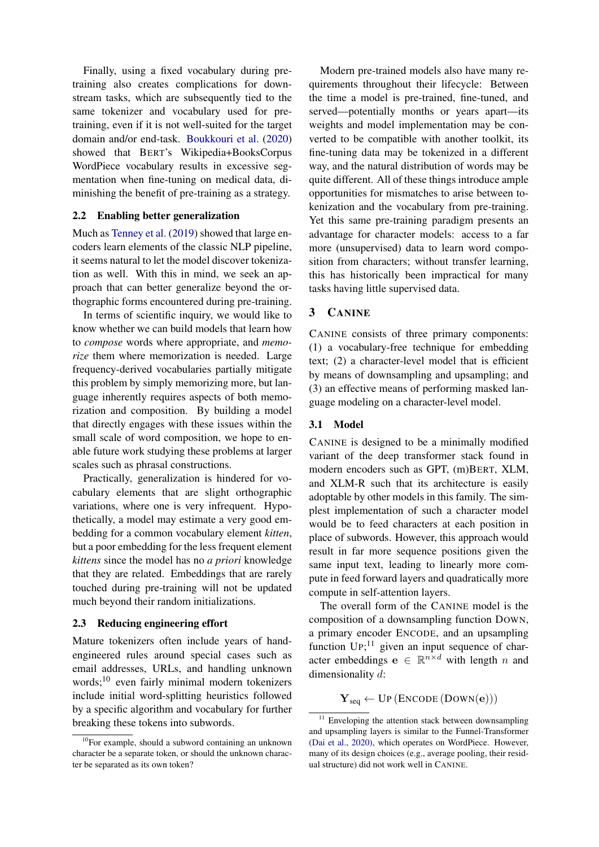Finally, using a fixed vocabulary during pretraining also creates complications for downstream tasks, which are subsequently tied to the same tokenizer and vocabulary used for pretraining, even if it is not well-suited for the target domain and/or end-task. [Boukkouri et al.](#page-12-1) [\(2020\)](#page-12-1) showed that BERT's Wikipedia+BooksCorpus WordPiece vocabulary results in excessive segmentation when fine-tuning on medical data, diminishing the benefit of pre-training as a strategy.

# 2.2 Enabling better generalization

Much as [Tenney et al.](#page-14-6) [\(2019\)](#page-14-6) showed that large encoders learn elements of the classic NLP pipeline, it seems natural to let the model discover tokenization as well. With this in mind, we seek an approach that can better generalize beyond the orthographic forms encountered during pre-training.

In terms of scientific inquiry, we would like to know whether we can build models that learn how to *compose* words where appropriate, and *memorize* them where memorization is needed. Large frequency-derived vocabularies partially mitigate this problem by simply memorizing more, but language inherently requires aspects of both memorization and composition. By building a model that directly engages with these issues within the small scale of word composition, we hope to enable future work studying these problems at larger scales such as phrasal constructions.

Practically, generalization is hindered for vocabulary elements that are slight orthographic variations, where one is very infrequent. Hypothetically, a model may estimate a very good embedding for a common vocabulary element *kitten*, but a poor embedding for the less frequent element *kittens* since the model has no *a priori* knowledge that they are related. Embeddings that are rarely touched during pre-training will not be updated much beyond their random initializations.

### 2.3 Reducing engineering effort

Mature tokenizers often include years of handengineered rules around special cases such as email addresses, URLs, and handling unknown words;<sup>10</sup> even fairly minimal modern tokenizers include initial word-splitting heuristics followed by a specific algorithm and vocabulary for further breaking these tokens into subwords.

Modern pre-trained models also have many requirements throughout their lifecycle: Between the time a model is pre-trained, fine-tuned, and served—potentially months or years apart—its weights and model implementation may be converted to be compatible with another toolkit, its fine-tuning data may be tokenized in a different way, and the natural distribution of words may be quite different. All of these things introduce ample opportunities for mismatches to arise between tokenization and the vocabulary from pre-training. Yet this same pre-training paradigm presents an advantage for character models: access to a far more (unsupervised) data to learn word composition from characters; without transfer learning, this has historically been impractical for many tasks having little supervised data.

# 3 CANINE

CANINE consists of three primary components: (1) a vocabulary-free technique for embedding text; (2) a character-level model that is efficient by means of downsampling and upsampling; and (3) an effective means of performing masked language modeling on a character-level model.

# 3.1 Model

CANINE is designed to be a minimally modified variant of the deep transformer stack found in modern encoders such as GPT, (m)BERT, XLM, and XLM-R such that its architecture is easily adoptable by other models in this family. The simplest implementation of such a character model would be to feed characters at each position in place of subwords. However, this approach would result in far more sequence positions given the same input text, leading to linearly more compute in feed forward layers and quadratically more compute in self-attention layers.

The overall form of the CANINE model is the composition of a downsampling function DOWN, a primary encoder ENCODE, and an upsampling function  $UP;^{11}$  given an input sequence of character embeddings  $e \in \mathbb{R}^{n \times d}$  with length n and dimensionality d:

 $\mathbf{Y}_{seq} \leftarrow \text{UP}(\text{ENCODE}(\text{Down}(\mathbf{e})))$ 

 $10$ For example, should a subword containing an unknown character be a separate token, or should the unknown character be separated as its own token?

 $11$  Enveloping the attention stack between downsampling and upsampling layers is similar to the Funnel-Transformer [\(Dai et al.,](#page-13-2) [2020\)](#page-13-2), which operates on WordPiece. However, many of its design choices (e.g., average pooling, their residual structure) did not work well in CANINE.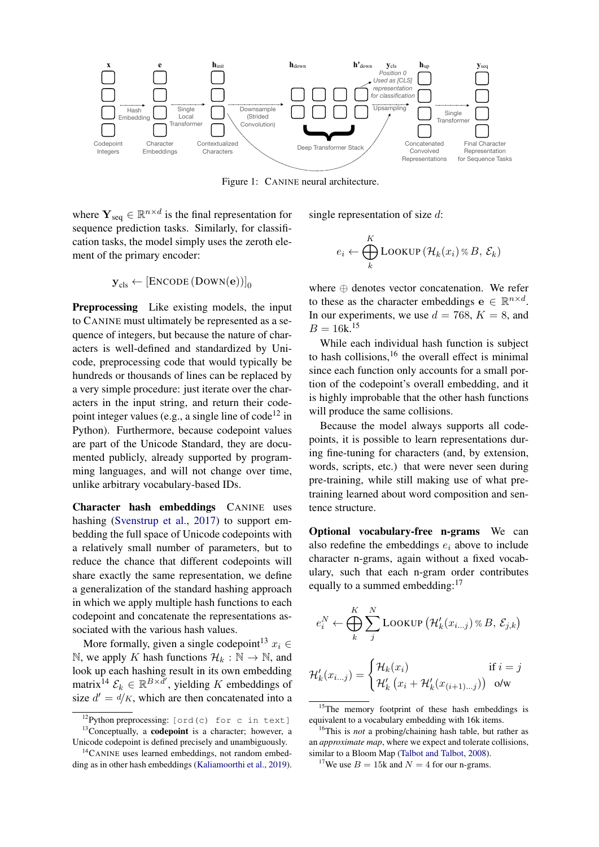

where  $\mathbf{Y}_{seq} \in \mathbb{R}^{n \times d}$  is the final representation for sequence prediction tasks. Similarly, for classification tasks, the model simply uses the zeroth element of the primary encoder:

$$
\mathbf{y}_{cls} \leftarrow \left[ \text{Encoder} \left( \text{Down}(\mathbf{e}) \right) \right]_0
$$

<span id="page-3-0"></span>Preprocessing Like existing models, the input to CANINE must ultimately be represented as a sequence of integers, but because the nature of characters is well-defined and standardized by Unicode, preprocessing code that would typically be hundreds or thousands of lines can be replaced by a very simple procedure: just iterate over the characters in the input string, and return their codepoint integer values (e.g., a single line of  $code^{12}$  in Python). Furthermore, because codepoint values are part of the Unicode Standard, they are documented publicly, already supported by programming languages, and will not change over time, unlike arbitrary vocabulary-based IDs.

Character hash embeddings CANINE uses hashing [\(Svenstrup et al.,](#page-14-7) [2017\)](#page-14-7) to support embedding the full space of Unicode codepoints with a relatively small number of parameters, but to reduce the chance that different codepoints will share exactly the same representation, we define a generalization of the standard hashing approach in which we apply multiple hash functions to each codepoint and concatenate the representations associated with the various hash values.

More formally, given a single codepoint<sup>13</sup>  $x_i \in$ N, we apply K hash functions  $\mathcal{H}_k : \mathbb{N} \to \mathbb{N}$ , and look up each hashing result in its own embedding matrix<sup>14</sup>  $\mathcal{E}_k \in \mathbb{R}^{B \times \bar{d}'}$ , yielding K embeddings of size  $d' = d/K$ , which are then concatenated into a

single representation of size d:

$$
e_i \leftarrow \bigoplus_k^K \text{LOOKUP} \left( \mathcal{H}_k(x_i) \otimes B, \, \mathcal{E}_k \right)
$$

where ⊕ denotes vector concatenation. We refer to these as the character embeddings  $e \in \mathbb{R}^{n \times d}$ . In our experiments, we use  $d = 768$ ,  $K = 8$ , and  $B = 16k^{15}$ 

While each individual hash function is subject to hash collisions, $16$  the overall effect is minimal since each function only accounts for a small portion of the codepoint's overall embedding, and it is highly improbable that the other hash functions will produce the same collisions.

Because the model always supports all codepoints, it is possible to learn representations during fine-tuning for characters (and, by extension, words, scripts, etc.) that were never seen during pre-training, while still making use of what pretraining learned about word composition and sentence structure.

Optional vocabulary-free n-grams We can also redefine the embeddings  $e_i$  above to include character n-grams, again without a fixed vocabulary, such that each n-gram order contributes equally to a summed embedding:<sup>17</sup>

$$
e_i^N \leftarrow \bigoplus_k^K \sum_j^N \text{LOOKUP} \left( \mathcal{H}_k'(x_{i\ldots j}) \otimes B, \, \mathcal{E}_{j,k} \right)
$$

$$
\mathcal{H}_k'(x_{i\ldots j}) = \begin{cases} \mathcal{H}_k(x_i) & \text{if } i = j \\ \mathcal{H}_k'\left(x_i + \mathcal{H}_k'(x_{(i+1)\ldots j})\right) & \text{o/w} \end{cases}
$$

 $^{12}$ Python preprocessing: [ord(c) for c in text]  $13$ Conceptually, a **codepoint** is a character; however, a Unicode codepoint is defined precisely and unambiguously.

<sup>&</sup>lt;sup>14</sup>CANINE uses learned embeddings, not random embedding as in other hash embeddings [\(Kaliamoorthi et al.,](#page-13-3) [2019\)](#page-13-3).

<sup>&</sup>lt;sup>15</sup>The memory footprint of these hash embeddings is equivalent to a vocabulary embedding with 16k items.

<sup>16</sup>This is *not* a probing/chaining hash table, but rather as an *approximate map*, where we expect and tolerate collisions, similar to a Bloom Map [\(Talbot and Talbot,](#page-14-8) [2008\)](#page-14-8).

<sup>&</sup>lt;sup>17</sup>We use  $B = 15k$  and  $N = 4$  for our n-grams.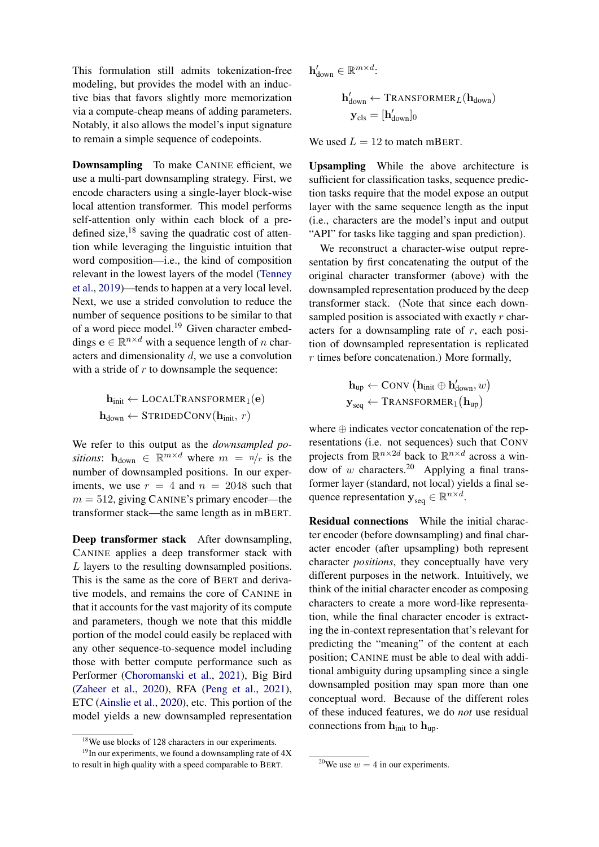This formulation still admits tokenization-free modeling, but provides the model with an inductive bias that favors slightly more memorization via a compute-cheap means of adding parameters. Notably, it also allows the model's input signature to remain a simple sequence of codepoints.

Downsampling To make CANINE efficient, we use a multi-part downsampling strategy. First, we encode characters using a single-layer block-wise local attention transformer. This model performs self-attention only within each block of a predefined size, $18$  saving the quadratic cost of attention while leveraging the linguistic intuition that word composition—i.e., the kind of composition relevant in the lowest layers of the model [\(Tenney](#page-14-6) [et al.,](#page-14-6) [2019\)](#page-14-6)—tends to happen at a very local level. Next, we use a strided convolution to reduce the number of sequence positions to be similar to that of a word piece model.<sup>19</sup> Given character embeddings  $e \in \mathbb{R}^{n \times d}$  with a sequence length of n characters and dimensionality d, we use a convolution with a stride of  $r$  to downsample the sequence:

$$
\mathbf{h}_{init} \leftarrow \text{LOCALTRANSFORMER}_1(\mathbf{e})
$$

$$
\mathbf{h}_{down} \leftarrow \text{STRIDEDConv}(\mathbf{h}_{init}, r)
$$

We refer to this output as the *downsampled positions*:  $h_{down} \in \mathbb{R}^{m \times d}$  where  $m = n/r$  is the number of downsampled positions. In our experiments, we use  $r = 4$  and  $n = 2048$  such that  $m = 512$ , giving CANINE's primary encoder—the transformer stack—the same length as in mBERT.

Deep transformer stack After downsampling, CANINE applies a deep transformer stack with L layers to the resulting downsampled positions. This is the same as the core of BERT and derivative models, and remains the core of CANINE in that it accounts for the vast majority of its compute and parameters, though we note that this middle portion of the model could easily be replaced with any other sequence-to-sequence model including those with better compute performance such as Performer [\(Choromanski et al.,](#page-12-2) [2021\)](#page-12-2), Big Bird [\(Zaheer et al.,](#page-15-2) [2020\)](#page-15-2), RFA [\(Peng et al.,](#page-14-9) [2021\)](#page-14-9), ETC [\(Ainslie et al.,](#page-12-3) [2020\)](#page-12-3), etc. This portion of the model yields a new downsampled representation  $\mathbf{h}_{\text{down}}' \in \mathbb{R}^{m \times d}$ :

$$
\begin{aligned} \mathbf{h}_{down}^{\prime} \gets \text{Transformer}_{\mathit{L}}(\mathbf{h}_{down}) \\ \mathbf{y}_{cls} = [\mathbf{h}_{down}^{\prime}]_{0} \end{aligned}
$$

We used  $L = 12$  to match mBERT.

Upsampling While the above architecture is sufficient for classification tasks, sequence prediction tasks require that the model expose an output layer with the same sequence length as the input (i.e., characters are the model's input and output "API" for tasks like tagging and span prediction).

We reconstruct a character-wise output representation by first concatenating the output of the original character transformer (above) with the downsampled representation produced by the deep transformer stack. (Note that since each downsampled position is associated with exactly  $r$  characters for a downsampling rate of  $r$ , each position of downsampled representation is replicated  $r$  times before concatenation.) More formally,

$$
\begin{aligned} \mathbf{h}_{up} &\leftarrow \text{Conv}\left(\mathbf{h}_{init} \oplus \mathbf{h}_{down}', w\right) \\ \mathbf{y}_{seq} &\leftarrow \text{TRANSFORMER}_1\big(\mathbf{h}_{up}\big) \end{aligned}
$$

where ⊕ indicates vector concatenation of the representations (i.e. not sequences) such that CONV projects from  $\mathbb{R}^{n \times 2d}$  back to  $\mathbb{R}^{n \times d}$  across a window of w characters.<sup>20</sup> Applying a final transformer layer (standard, not local) yields a final sequence representation  $y_{\text{seq}} \in \mathbb{R}^{n \times d}$ .

Residual connections While the initial character encoder (before downsampling) and final character encoder (after upsampling) both represent character *positions*, they conceptually have very different purposes in the network. Intuitively, we think of the initial character encoder as composing characters to create a more word-like representation, while the final character encoder is extracting the in-context representation that's relevant for predicting the "meaning" of the content at each position; CANINE must be able to deal with additional ambiguity during upsampling since a single downsampled position may span more than one conceptual word. Because of the different roles of these induced features, we do *not* use residual connections from  $h_{init}$  to  $h_{up}$ .

<sup>18</sup>We use blocks of 128 characters in our experiments.

 $19$ In our experiments, we found a downsampling rate of  $4X$ to result in high quality with a speed comparable to BERT.

<sup>&</sup>lt;sup>20</sup>We use  $w = 4$  in our experiments.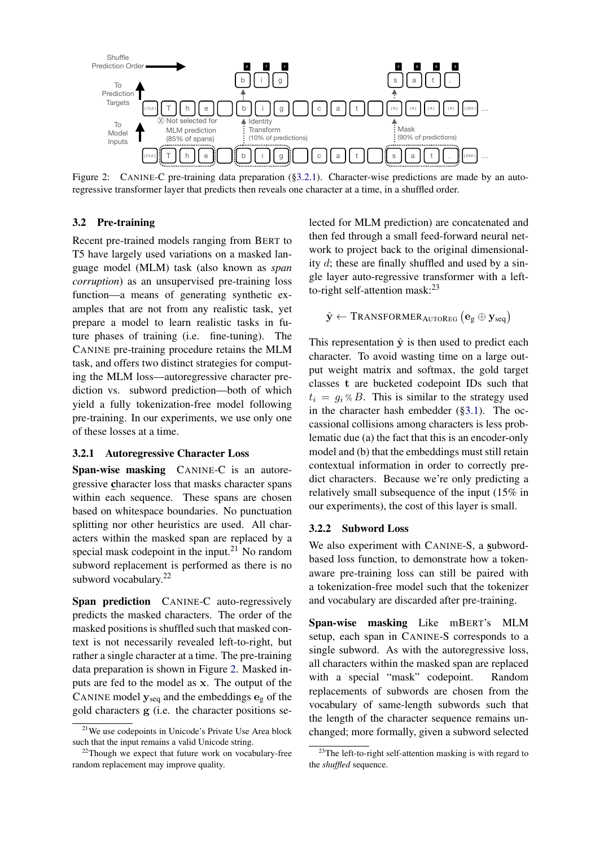

<span id="page-5-1"></span>Figure 2: CANINE-C pre-training data preparation ([§3.2.1\)](#page-5-0). Character-wise predictions are made by an autoregressive transformer layer that predicts then reveals one character at a time, in a shuffled order.

# 3.2 Pre-training

Recent pre-trained models ranging from BERT to T5 have largely used variations on a masked language model (MLM) task (also known as *span corruption*) as an unsupervised pre-training loss function—a means of generating synthetic examples that are not from any realistic task, yet prepare a model to learn realistic tasks in future phases of training (i.e. fine-tuning). The CANINE pre-training procedure retains the MLM task, and offers two distinct strategies for computing the MLM loss—autoregressive character prediction vs. subword prediction—both of which yield a fully tokenization-free model following pre-training. In our experiments, we use only one of these losses at a time.

# <span id="page-5-0"></span>3.2.1 Autoregressive Character Loss

Span-wise masking CANINE-C is an autoregressive character loss that masks character spans within each sequence. These spans are chosen based on whitespace boundaries. No punctuation splitting nor other heuristics are used. All characters within the masked span are replaced by a special mask codepoint in the input. $21$  No random subword replacement is performed as there is no subword vocabulary.<sup>22</sup>

Span prediction CANINE-C auto-regressively predicts the masked characters. The order of the masked positions is shuffled such that masked context is not necessarily revealed left-to-right, but rather a single character at a time. The pre-training data preparation is shown in Figure [2.](#page-5-1) Masked inputs are fed to the model as x. The output of the CANINE model  $y_{seq}$  and the embeddings  $e_g$  of the gold characters g (i.e. the character positions selected for MLM prediction) are concatenated and then fed through a small feed-forward neural network to project back to the original dimensionality d; these are finally shuffled and used by a single layer auto-regressive transformer with a leftto-right self-attention mask:<sup>23</sup>

$$
\hat{\mathbf{y}} \leftarrow \text{Transformat}_\text{AUToReg}\left(\mathbf{e}_{\text{g}} \oplus \mathbf{y}_{\text{seq}}\right)
$$

This representation  $\hat{y}$  is then used to predict each character. To avoid wasting time on a large output weight matrix and softmax, the gold target classes t are bucketed codepoint IDs such that  $t_i = q_i \otimes B$ . This is similar to the strategy used in the character hash embedder ([§3.1\)](#page-3-0). The occassional collisions among characters is less problematic due (a) the fact that this is an encoder-only model and (b) that the embeddings must still retain contextual information in order to correctly predict characters. Because we're only predicting a relatively small subsequence of the input (15% in our experiments), the cost of this layer is small.

# 3.2.2 Subword Loss

We also experiment with CANINE-S, a subwordbased loss function, to demonstrate how a tokenaware pre-training loss can still be paired with a tokenization-free model such that the tokenizer and vocabulary are discarded after pre-training.

Span-wise masking Like mBERT's MLM setup, each span in CANINE-S corresponds to a single subword. As with the autoregressive loss, all characters within the masked span are replaced with a special "mask" codepoint. Random replacements of subwords are chosen from the vocabulary of same-length subwords such that the length of the character sequence remains unchanged; more formally, given a subword selected

<sup>21</sup>We use codepoints in Unicode's Private Use Area block such that the input remains a valid Unicode string.

 $22$ Though we expect that future work on vocabulary-free random replacement may improve quality.

 $23$ The left-to-right self-attention masking is with regard to the *shuffled* sequence.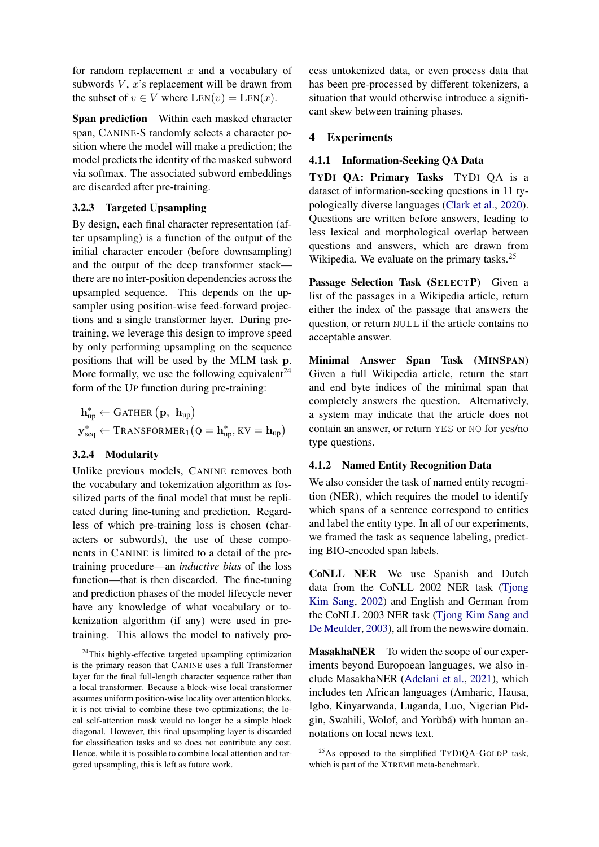for random replacement  $x$  and a vocabulary of subwords  $V$ ,  $x$ 's replacement will be drawn from the subset of  $v \in V$  where  $LEN(v) = Len(x)$ .

Span prediction Within each masked character span, CANINE-S randomly selects a character position where the model will make a prediction; the model predicts the identity of the masked subword via softmax. The associated subword embeddings are discarded after pre-training.

### 3.2.3 Targeted Upsampling

By design, each final character representation (after upsampling) is a function of the output of the initial character encoder (before downsampling) and the output of the deep transformer stack there are no inter-position dependencies across the upsampled sequence. This depends on the upsampler using position-wise feed-forward projections and a single transformer layer. During pretraining, we leverage this design to improve speed by only performing upsampling on the sequence positions that will be used by the MLM task p. More formally, we use the following equivalent<sup>24</sup> form of the UP function during pre-training:

 $\mathbf{h}^*_\text{up} \leftarrow \text{GATHER}\left(\mathbf{p}, \ \mathbf{h}_\text{up}\right)$  $\mathbf{y}^*_{\text{seq}} \leftarrow \text{Transformer}_1\big(\text{Q} = \mathbf{h}^*_{\text{up}}, \text{KV} = \mathbf{h}_{\text{up}}\big)$ 

# 3.2.4 Modularity

Unlike previous models, CANINE removes both the vocabulary and tokenization algorithm as fossilized parts of the final model that must be replicated during fine-tuning and prediction. Regardless of which pre-training loss is chosen (characters or subwords), the use of these components in CANINE is limited to a detail of the pretraining procedure—an *inductive bias* of the loss function—that is then discarded. The fine-tuning and prediction phases of the model lifecycle never have any knowledge of what vocabulary or tokenization algorithm (if any) were used in pretraining. This allows the model to natively pro-

cess untokenized data, or even process data that has been pre-processed by different tokenizers, a situation that would otherwise introduce a significant skew between training phases.

# 4 Experiments

# <span id="page-6-0"></span>4.1.1 Information-Seeking QA Data

TYDI QA: Primary Tasks TYDI QA is a dataset of information-seeking questions in 11 typologically diverse languages [\(Clark et al.,](#page-13-4) [2020\)](#page-13-4). Questions are written before answers, leading to less lexical and morphological overlap between questions and answers, which are drawn from Wikipedia. We evaluate on the primary tasks.<sup>25</sup>

Passage Selection Task (SELECTP) Given a list of the passages in a Wikipedia article, return either the index of the passage that answers the question, or return NULL if the article contains no acceptable answer.

Minimal Answer Span Task (MINSPAN) Given a full Wikipedia article, return the start and end byte indices of the minimal span that completely answers the question. Alternatively, a system may indicate that the article does not contain an answer, or return YES or NO for yes/no type questions.

#### 4.1.2 Named Entity Recognition Data

We also consider the task of named entity recognition (NER), which requires the model to identify which spans of a sentence correspond to entities and label the entity type. In all of our experiments, we framed the task as sequence labeling, predicting BIO-encoded span labels.

CoNLL NER We use Spanish and Dutch data from the CoNLL 2002 NER task [\(Tjong](#page-14-10) [Kim Sang,](#page-14-10) [2002\)](#page-14-10) and English and German from the CoNLL 2003 NER task [\(Tjong Kim Sang and](#page-15-3) [De Meulder,](#page-15-3) [2003\)](#page-15-3), all from the newswire domain.

MasakhaNER To widen the scope of our experiments beyond Europoean languages, we also include MasakhaNER [\(Adelani et al.,](#page-12-4) [2021\)](#page-12-4), which includes ten African languages (Amharic, Hausa, Igbo, Kinyarwanda, Luganda, Luo, Nigerian Pidgin, Swahili, Wolof, and Yorùbá) with human annotations on local news text.

<sup>&</sup>lt;sup>24</sup>This highly-effective targeted upsampling optimization is the primary reason that CANINE uses a full Transformer layer for the final full-length character sequence rather than a local transformer. Because a block-wise local transformer assumes uniform position-wise locality over attention blocks, it is not trivial to combine these two optimizations; the local self-attention mask would no longer be a simple block diagonal. However, this final upsampling layer is discarded for classification tasks and so does not contribute any cost. Hence, while it is possible to combine local attention and targeted upsampling, this is left as future work.

 $25$ As opposed to the simplified TYDIQA-GOLDP task, which is part of the XTREME meta-benchmark.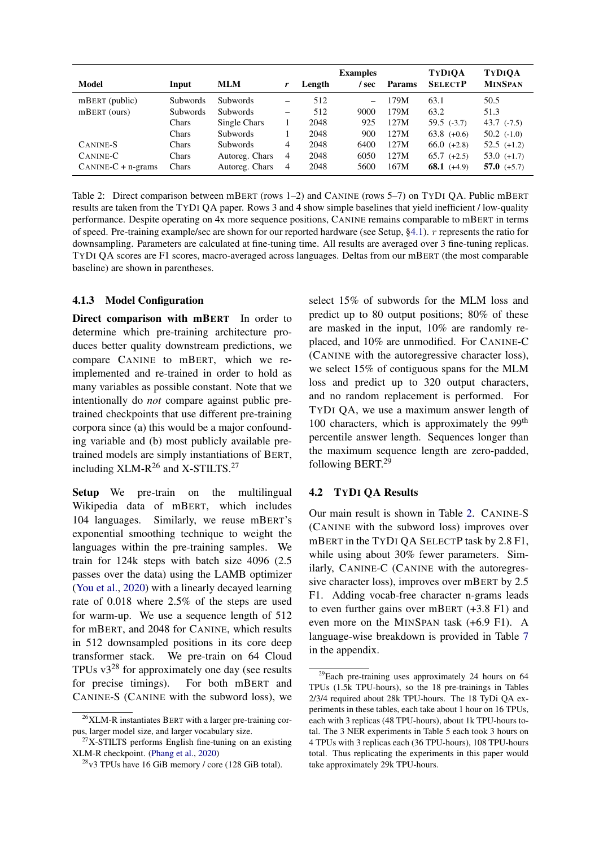| <b>Model</b>         | Input    | <b>MLM</b>      |   | Length | <b>Examples</b><br>sec | <b>Params</b> | <b>TYDIOA</b><br><b>SELECTP</b> | <b>TYDIOA</b><br><b>MINSPAN</b> |
|----------------------|----------|-----------------|---|--------|------------------------|---------------|---------------------------------|---------------------------------|
| $mBERT$ (public)     | Subwords | <b>Subwords</b> | - | 512    |                        | 179M          | 63.1                            | 50.5                            |
| $mBERT$ (ours)       | Subwords | Subwords        | - | 512    | 9000                   | 179M          | 63.2                            | 51.3                            |
|                      | Chars    | Single Chars    |   | 2048   | 925                    | 127M          | $59.5$ $(-3.7)$                 | $43.7$ $(-7.5)$                 |
|                      | Chars    | <b>Subwords</b> |   | 2048   | 900                    | 127M          | $63.8 (+0.6)$                   | $50.2$ $(-1.0)$                 |
| CANINE-S             | Chars    | <b>Subwords</b> | 4 | 2048   | 6400                   | 127M          | $66.0 (+2.8)$                   | $52.5$ $(+1.2)$                 |
| CANINE-C             | Chars    | Autoreg. Chars  | 4 | 2048   | 6050                   | 127M          | $65.7$ $(+2.5)$                 | $53.0 (+1.7)$                   |
| $CANINE-C + n-grams$ | Chars    | Autoreg. Chars  | 4 | 2048   | 5600                   | 167M          | 68.1 $(+4.9)$                   | 57.0 $(+5.7)$                   |

<span id="page-7-1"></span>Table 2: Direct comparison between mBERT (rows 1–2) and CANINE (rows 5–7) on TYDI QA. Public mBERT results are taken from the TYDI QA paper. Rows 3 and 4 show simple baselines that yield inefficient / low-quality performance. Despite operating on 4x more sequence positions, CANINE remains comparable to mBERT in terms of speed. Pre-training example/sec are shown for our reported hardware (see Setup, [§4.1\)](#page-6-0). r represents the ratio for downsampling. Parameters are calculated at fine-tuning time. All results are averaged over 3 fine-tuning replicas. TYDI QA scores are F1 scores, macro-averaged across languages. Deltas from our mBERT (the most comparable baseline) are shown in parentheses.

# 4.1.3 Model Configuration

Direct comparison with mBERT In order to determine which pre-training architecture produces better quality downstream predictions, we compare CANINE to mBERT, which we reimplemented and re-trained in order to hold as many variables as possible constant. Note that we intentionally do *not* compare against public pretrained checkpoints that use different pre-training corpora since (a) this would be a major confounding variable and (b) most publicly available pretrained models are simply instantiations of BERT, including XLM-R<sup>26</sup> and X-STILTS.<sup>27</sup>

Setup We pre-train on the multilingual Wikipedia data of mBERT, which includes 104 languages. Similarly, we reuse mBERT's exponential smoothing technique to weight the languages within the pre-training samples. We train for 124k steps with batch size 4096 (2.5 passes over the data) using the LAMB optimizer [\(You et al.,](#page-15-4) [2020\)](#page-15-4) with a linearly decayed learning rate of 0.018 where 2.5% of the steps are used for warm-up. We use a sequence length of 512 for mBERT, and 2048 for CANINE, which results in 512 downsampled positions in its core deep transformer stack. We pre-train on 64 Cloud TPUs  $v3^{28}$  for approximately one day (see results for precise timings). For both mBERT and CANINE-S (CANINE with the subword loss), we select 15% of subwords for the MLM loss and predict up to 80 output positions; 80% of these are masked in the input, 10% are randomly replaced, and 10% are unmodified. For CANINE-C (CANINE with the autoregressive character loss), we select 15% of contiguous spans for the MLM loss and predict up to 320 output characters, and no random replacement is performed. For TYDI QA, we use a maximum answer length of 100 characters, which is approximately the 99<sup>th</sup> percentile answer length. Sequences longer than the maximum sequence length are zero-padded, following BERT.<sup>29</sup>

# <span id="page-7-0"></span>4.2 TYDI QA Results

Our main result is shown in Table [2.](#page-7-1) CANINE-S (CANINE with the subword loss) improves over mBERT in the TYDI QA SELECTP task by 2.8 F1, while using about 30% fewer parameters. Similarly, CANINE-C (CANINE with the autoregressive character loss), improves over mBERT by 2.5 F1. Adding vocab-free character n-grams leads to even further gains over mBERT (+3.8 F1) and even more on the MINSPAN task (+6.9 F1). A language-wise breakdown is provided in Table [7](#page-16-0) in the appendix.

 $26$ XLM-R instantiates BERT with a larger pre-training corpus, larger model size, and larger vocabulary size.

 $27X$ -STILTS performs English fine-tuning on an existing XLM-R checkpoint. [\(Phang et al.,](#page-14-11) [2020\)](#page-14-11)

 $28$ v3 TPUs have 16 GiB memory / core (128 GiB total).

<sup>29</sup>Each pre-training uses approximately 24 hours on 64 TPUs (1.5k TPU-hours), so the 18 pre-trainings in Tables 2/3/4 required about 28k TPU-hours. The 18 TyDi QA experiments in these tables, each take about 1 hour on 16 TPUs, each with 3 replicas (48 TPU-hours), about 1k TPU-hours total. The 3 NER experiments in Table 5 each took 3 hours on 4 TPUs with 3 replicas each (36 TPU-hours), 108 TPU-hours total. Thus replicating the experiments in this paper would take approximately 29k TPU-hours.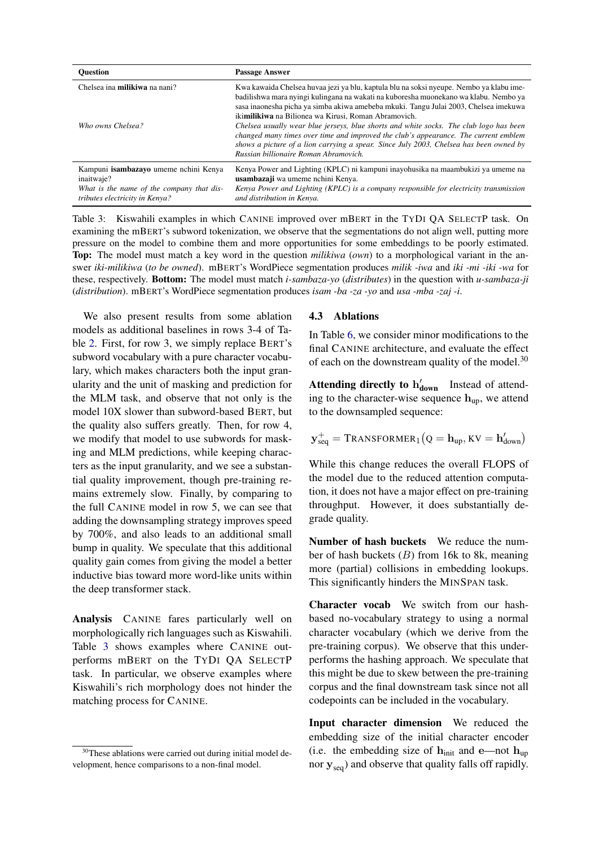| <b>Ouestion</b>                                                                                                                    | <b>Passage Answer</b>                                                                                                                                                                                                                                                                                                                                                                                                                                                                                                                                                                                                                                      |
|------------------------------------------------------------------------------------------------------------------------------------|------------------------------------------------------------------------------------------------------------------------------------------------------------------------------------------------------------------------------------------------------------------------------------------------------------------------------------------------------------------------------------------------------------------------------------------------------------------------------------------------------------------------------------------------------------------------------------------------------------------------------------------------------------|
| Chelsea ina <b>milikiwa</b> na nani?<br>Who owns Chelsea?                                                                          | Kwa kawaida Chelsea huvaa jezi ya blu, kaptula blu na soksi nyeupe. Nembo ya klabu ime-<br>badilishwa mara nyingi kulingana na wakati na kuboresha muonekano wa klabu. Nembo ya<br>sasa inaonesha picha ya simba akiwa amebeba mkuki. Tangu Julai 2003, Chelsea imekuwa<br>iki <b>milikiwa</b> na Bilionea wa Kirusi, Roman Abramovich.<br>Chelsea usually wear blue jerseys, blue shorts and white socks. The club logo has been<br>changed many times over time and improved the club's appearance. The current emblem<br>shows a picture of a lion carrying a spear. Since July 2003, Chelsea has been owned by<br>Russian billionaire Roman Abramovich |
| Kampuni isambazayo umeme nchini Kenya<br>inaitwaje?<br>What is the name of the company that dis-<br>tributes electricity in Kenya? | Kenya Power and Lighting (KPLC) ni kampuni inayohusika na maambukizi ya umeme na<br>usambazaji wa umeme nchini Kenya.<br>Kenya Power and Lighting (KPLC) is a company responsible for electricity transmission<br>and distribution in Kenya.                                                                                                                                                                                                                                                                                                                                                                                                               |

<span id="page-8-0"></span>Table 3: Kiswahili examples in which CANINE improved over mBERT in the TYDI QA SELECTP task. On examining the mBERT's subword tokenization, we observe that the segmentations do not align well, putting more pressure on the model to combine them and more opportunities for some embeddings to be poorly estimated. Top: The model must match a key word in the question *milikiwa* (*own*) to a morphological variant in the answer *iki-milikiwa* (*to be owned*). mBERT's WordPiece segmentation produces *milik -iwa* and *iki -mi -iki -wa* for these, respectively. Bottom: The model must match *i-sambaza-yo* (*distributes*) in the question with *u-sambaza-ji* (*distribution*). mBERT's WordPiece segmentation produces *isam -ba -za -yo* and *usa -mba -zaj -i*.

We also present results from some ablation models as additional baselines in rows 3-4 of Table [2.](#page-7-1) First, for row 3, we simply replace BERT's subword vocabulary with a pure character vocabulary, which makes characters both the input granularity and the unit of masking and prediction for the MLM task, and observe that not only is the model 10X slower than subword-based BERT, but the quality also suffers greatly. Then, for row 4, we modify that model to use subwords for masking and MLM predictions, while keeping characters as the input granularity, and we see a substantial quality improvement, though pre-training remains extremely slow. Finally, by comparing to the full CANINE model in row 5, we can see that adding the downsampling strategy improves speed by 700%, and also leads to an additional small bump in quality. We speculate that this additional quality gain comes from giving the model a better inductive bias toward more word-like units within the deep transformer stack.

Analysis CANINE fares particularly well on morphologically rich languages such as Kiswahili. Table [3](#page-8-0) shows examples where CANINE outperforms mBERT on the TYDI QA SELECTP task. In particular, we observe examples where Kiswahili's rich morphology does not hinder the matching process for CANINE.

# 4.3 Ablations

In Table [6,](#page-10-0) we consider minor modifications to the final CANINE architecture, and evaluate the effect of each on the downstream quality of the model. $30$ 

Attending directly to  $h'_{down}$  Instead of attending to the character-wise sequence  $h_{\text{up}}$ , we attend to the downsampled sequence:

$$
\mathbf{y}^+_{seq} = \text{Transformat}_1\big(Q = \mathbf{h}_{up}, KV = \mathbf{h}_{down}'\big)
$$

While this change reduces the overall FLOPS of the model due to the reduced attention computation, it does not have a major effect on pre-training throughput. However, it does substantially degrade quality.

Number of hash buckets We reduce the number of hash buckets  $(B)$  from 16k to 8k, meaning more (partial) collisions in embedding lookups. This significantly hinders the MINSPAN task.

Character vocab We switch from our hashbased no-vocabulary strategy to using a normal character vocabulary (which we derive from the pre-training corpus). We observe that this underperforms the hashing approach. We speculate that this might be due to skew between the pre-training corpus and the final downstream task since not all codepoints can be included in the vocabulary.

Input character dimension We reduced the embedding size of the initial character encoder (i.e. the embedding size of  $h_{init}$  and e—not  $h_{up}$ nor  $y_{seq}$ ) and observe that quality falls off rapidly.

<sup>&</sup>lt;sup>30</sup>These ablations were carried out during initial model development, hence comparisons to a non-final model.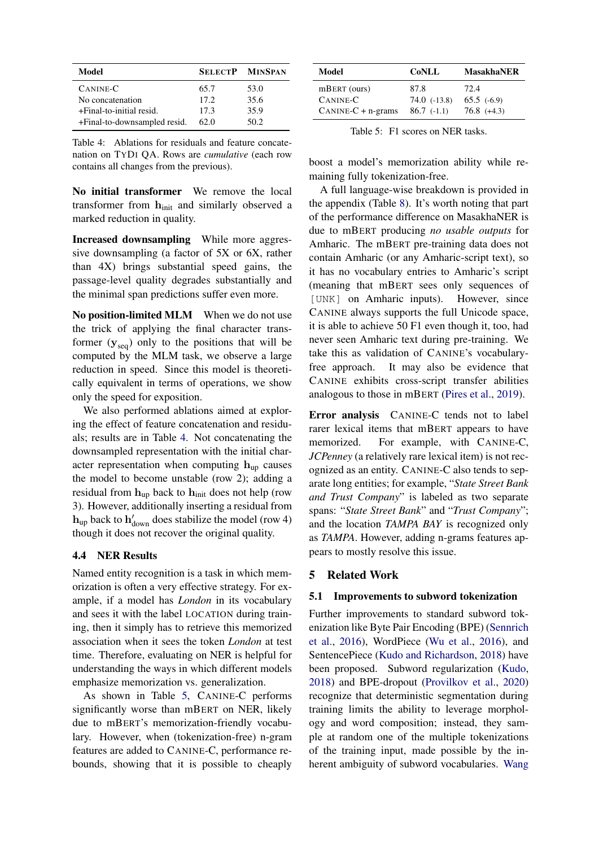| Model                        |       | <b>SELECTP MINSPAN</b> |
|------------------------------|-------|------------------------|
| CANINE-C                     | 65.7  | 53.0                   |
| No concatenation             | 17.2. | 35.6                   |
| +Final-to-initial resid.     | 17.3  | 35.9                   |
| +Final-to-downsampled resid. | 62.0  | 50.2                   |

<span id="page-9-0"></span>Table 4: Ablations for residuals and feature concatenation on TYDI QA. Rows are *cumulative* (each row contains all changes from the previous).

No initial transformer We remove the local transformer from hinit and similarly observed a marked reduction in quality.

Increased downsampling While more aggressive downsampling (a factor of 5X or 6X, rather than 4X) brings substantial speed gains, the passage-level quality degrades substantially and the minimal span predictions suffer even more.

No position-limited MLM When we do not use the trick of applying the final character transformer  $(\mathbf{y}_{seq})$  only to the positions that will be computed by the MLM task, we observe a large reduction in speed. Since this model is theoretically equivalent in terms of operations, we show only the speed for exposition.

We also performed ablations aimed at exploring the effect of feature concatenation and residuals; results are in Table [4.](#page-9-0) Not concatenating the downsampled representation with the initial character representation when computing  $h_{\text{up}}$  causes the model to become unstable (row 2); adding a residual from  $h_{\text{up}}$  back to  $h_{\text{init}}$  does not help (row 3). However, additionally inserting a residual from  $h_{\text{up}}$  back to  $h'_{\text{down}}$  does stabilize the model (row 4) though it does not recover the original quality.

# 4.4 NER Results

Named entity recognition is a task in which memorization is often a very effective strategy. For example, if a model has *London* in its vocabulary and sees it with the label LOCATION during training, then it simply has to retrieve this memorized association when it sees the token *London* at test time. Therefore, evaluating on NER is helpful for understanding the ways in which different models emphasize memorization vs. generalization.

As shown in Table [5,](#page-9-1) CANINE-C performs significantly worse than mBERT on NER, likely due to mBERT's memorization-friendly vocabulary. However, when (tokenization-free) n-gram features are added to CANINE-C, performance rebounds, showing that it is possible to cheaply

| Model                | <b>CoNLL</b>     | <b>MasakhaNER</b> |
|----------------------|------------------|-------------------|
| mBERT (ours)         | 87.8             | 72.4              |
| CANINE-C             | $74.0$ $(-13.8)$ | $65.5$ $(-6.9)$   |
| $CANINE-C + n-grams$ | $86.7$ (-1.1)    | $76.8 (+4.3)$     |

<span id="page-9-1"></span>Table 5: F1 scores on NER tasks.

boost a model's memorization ability while remaining fully tokenization-free.

A full language-wise breakdown is provided in the appendix (Table [8\)](#page-17-0). It's worth noting that part of the performance difference on MasakhaNER is due to mBERT producing *no usable outputs* for Amharic. The mBERT pre-training data does not contain Amharic (or any Amharic-script text), so it has no vocabulary entries to Amharic's script (meaning that mBERT sees only sequences of [UNK] on Amharic inputs). However, since CANINE always supports the full Unicode space, it is able to achieve 50 F1 even though it, too, had never seen Amharic text during pre-training. We take this as validation of CANINE's vocabularyfree approach. It may also be evidence that CANINE exhibits cross-script transfer abilities analogous to those in mBERT [\(Pires et al.,](#page-14-12) [2019\)](#page-14-12).

Error analysis CANINE-C tends not to label rarer lexical items that mBERT appears to have memorized. For example, with CANINE-C, *JCPenney* (a relatively rare lexical item) is not recognized as an entity. CANINE-C also tends to separate long entities; for example, "*State Street Bank and Trust Company*" is labeled as two separate spans: "*State Street Bank*" and "*Trust Company*"; and the location *TAMPA BAY* is recognized only as *TAMPA*. However, adding n-grams features appears to mostly resolve this issue.

#### 5 Related Work

#### 5.1 Improvements to subword tokenization

Further improvements to standard subword tokenization like Byte Pair Encoding (BPE) [\(Sennrich](#page-14-0) [et al.,](#page-14-0) [2016\)](#page-14-0), WordPiece [\(Wu et al.,](#page-15-0) [2016\)](#page-15-0), and SentencePiece [\(Kudo and Richardson,](#page-13-0) [2018\)](#page-13-0) have been proposed. Subword regularization [\(Kudo,](#page-13-5) [2018\)](#page-13-5) and BPE-dropout [\(Provilkov et al.,](#page-14-13) [2020\)](#page-14-13) recognize that deterministic segmentation during training limits the ability to leverage morphology and word composition; instead, they sample at random one of the multiple tokenizations of the training input, made possible by the inherent ambiguity of subword vocabularies. [Wang](#page-15-5)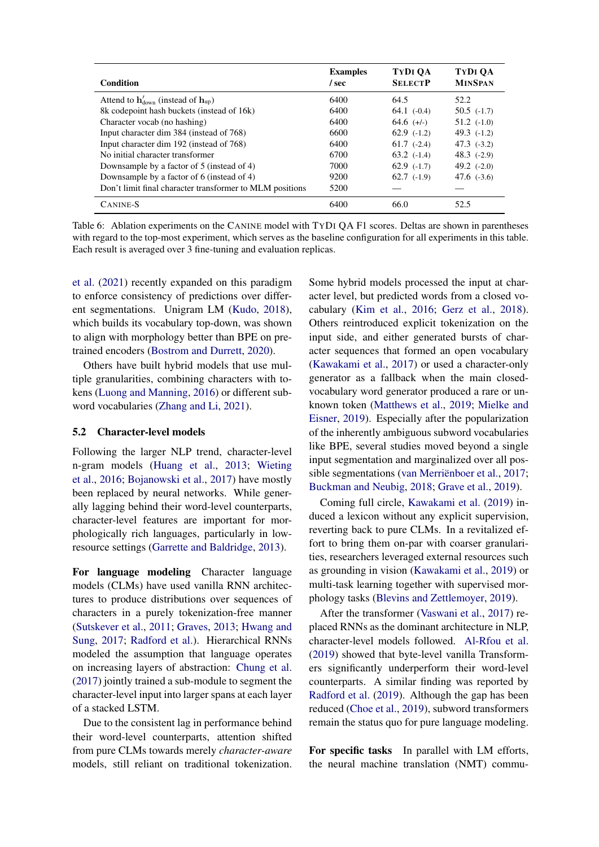| Condition                                                                    | <b>Examples</b><br>/ sec | TYDI OA<br><b>SELECTP</b> | TYDI OA<br><b>MINSPAN</b> |
|------------------------------------------------------------------------------|--------------------------|---------------------------|---------------------------|
| Attend to $\mathbf{h}'_{\text{down}}$ (instead of $\mathbf{h}_{\text{up}}$ ) | 6400                     | 64.5                      | 52.2                      |
| 8k codepoint hash buckets (instead of 16k)                                   | 6400                     | $64.1$ $(-0.4)$           | $50.5$ $(-1.7)$           |
| Character vocab (no hashing)                                                 | 6400                     | $64.6$ (+/-)              | $51.2$ $(-1.0)$           |
| Input character dim 384 (instead of 768)                                     | 6600                     | $62.9$ $(-1.2)$           | 49.3 $(-1.2)$             |
| Input character dim 192 (instead of 768)                                     | 6400                     | $61.7$ $(-2.4)$           | $47.3$ $(-3.2)$           |
| No initial character transformer                                             | 6700                     | $63.2$ $(-1.4)$           | $48.3$ $(-2.9)$           |
| Downsample by a factor of 5 (instead of 4)                                   | 7000                     | $62.9$ $(-1.7)$           | 49.2 $(-2.0)$             |
| Downsample by a factor of 6 (instead of 4)                                   | 9200                     | $62.7$ $(-1.9)$           | 47.6 $(-3.6)$             |
| Don't limit final character transformer to MLM positions                     | 5200                     |                           |                           |
| CANINE-S                                                                     | 6400                     | 66.0                      | 52.5                      |

<span id="page-10-0"></span>Table 6: Ablation experiments on the CANINE model with TYDI QA F1 scores. Deltas are shown in parentheses with regard to the top-most experiment, which serves as the baseline configuration for all experiments in this table. Each result is averaged over 3 fine-tuning and evaluation replicas.

[et al.](#page-15-5) [\(2021\)](#page-15-5) recently expanded on this paradigm to enforce consistency of predictions over different segmentations. Unigram LM [\(Kudo,](#page-13-5) [2018\)](#page-13-5), which builds its vocabulary top-down, was shown to align with morphology better than BPE on pretrained encoders [\(Bostrom and Durrett,](#page-12-5) [2020\)](#page-12-5).

Others have built hybrid models that use multiple granularities, combining characters with tokens [\(Luong and Manning,](#page-14-14) [2016\)](#page-14-14) or different subword vocabularies [\(Zhang and Li,](#page-15-6) [2021\)](#page-15-6).

#### 5.2 Character-level models

Following the larger NLP trend, character-level n-gram models [\(Huang et al.,](#page-13-6) [2013;](#page-13-6) [Wieting](#page-15-7) [et al.,](#page-15-7) [2016;](#page-15-7) [Bojanowski et al.,](#page-12-6) [2017\)](#page-12-6) have mostly been replaced by neural networks. While generally lagging behind their word-level counterparts, character-level features are important for morphologically rich languages, particularly in lowresource settings [\(Garrette and Baldridge,](#page-13-7) [2013\)](#page-13-7).

For language modeling Character language models (CLMs) have used vanilla RNN architectures to produce distributions over sequences of characters in a purely tokenization-free manner [\(Sutskever et al.,](#page-14-15) [2011;](#page-14-15) [Graves,](#page-13-8) [2013;](#page-13-8) [Hwang and](#page-13-9) [Sung,](#page-13-9) [2017;](#page-13-9) [Radford et al.\)](#page-14-16). Hierarchical RNNs modeled the assumption that language operates on increasing layers of abstraction: [Chung et al.](#page-13-10) [\(2017\)](#page-13-10) jointly trained a sub-module to segment the character-level input into larger spans at each layer of a stacked LSTM.

Due to the consistent lag in performance behind their word-level counterparts, attention shifted from pure CLMs towards merely *character-aware* models, still reliant on traditional tokenization.

Some hybrid models processed the input at character level, but predicted words from a closed vocabulary [\(Kim et al.,](#page-13-11) [2016;](#page-13-11) [Gerz et al.,](#page-13-12) [2018\)](#page-13-12). Others reintroduced explicit tokenization on the input side, and either generated bursts of character sequences that formed an open vocabulary [\(Kawakami et al.,](#page-13-13) [2017\)](#page-13-13) or used a character-only generator as a fallback when the main closedvocabulary word generator produced a rare or unknown token [\(Matthews et al.,](#page-14-17) [2019;](#page-14-17) [Mielke and](#page-14-18) [Eisner,](#page-14-18) [2019\)](#page-14-18). Especially after the popularization of the inherently ambiguous subword vocabularies like BPE, several studies moved beyond a single input segmentation and marginalized over all possible segmentations [\(van Merriënboer et al.,](#page-15-8) [2017;](#page-15-8) [Buckman and Neubig,](#page-12-7) [2018;](#page-12-7) [Grave et al.,](#page-13-14) [2019\)](#page-13-14).

Coming full circle, [Kawakami et al.](#page-13-15) [\(2019\)](#page-13-15) induced a lexicon without any explicit supervision, reverting back to pure CLMs. In a revitalized effort to bring them on-par with coarser granularities, researchers leveraged external resources such as grounding in vision [\(Kawakami et al.,](#page-13-15) [2019\)](#page-13-15) or multi-task learning together with supervised morphology tasks [\(Blevins and Zettlemoyer,](#page-12-8) [2019\)](#page-12-8).

After the transformer [\(Vaswani et al.,](#page-15-1) [2017\)](#page-15-1) replaced RNNs as the dominant architecture in NLP, character-level models followed. [Al-Rfou et al.](#page-12-9) [\(2019\)](#page-12-9) showed that byte-level vanilla Transformers significantly underperform their word-level counterparts. A similar finding was reported by [Radford et al.](#page-14-1) [\(2019\)](#page-14-1). Although the gap has been reduced [\(Choe et al.,](#page-12-10) [2019\)](#page-12-10), subword transformers remain the status quo for pure language modeling.

For specific tasks In parallel with LM efforts, the neural machine translation (NMT) commu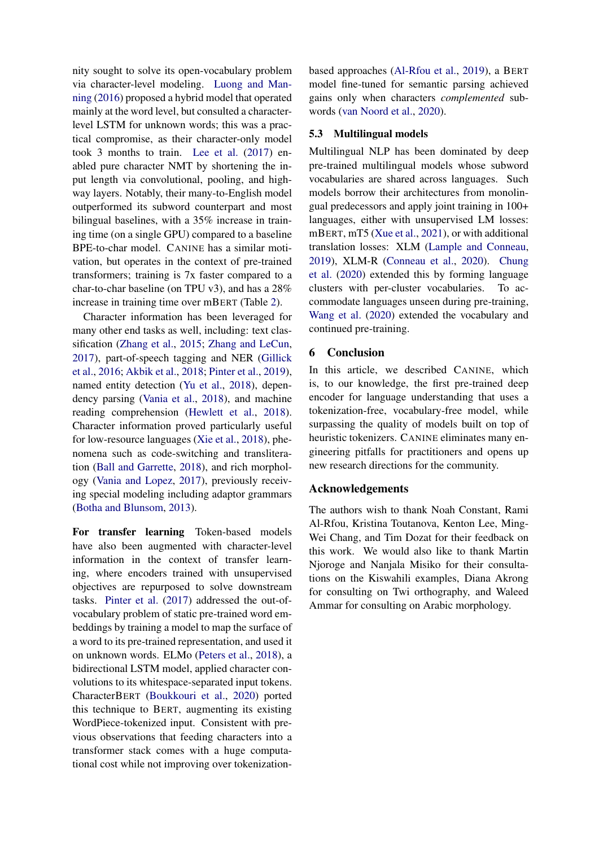nity sought to solve its open-vocabulary problem via character-level modeling. [Luong and Man](#page-14-14)[ning](#page-14-14) [\(2016\)](#page-14-14) proposed a hybrid model that operated mainly at the word level, but consulted a characterlevel LSTM for unknown words; this was a practical compromise, as their character-only model took 3 months to train. [Lee et al.](#page-13-16) [\(2017\)](#page-13-16) enabled pure character NMT by shortening the input length via convolutional, pooling, and highway layers. Notably, their many-to-English model outperformed its subword counterpart and most bilingual baselines, with a 35% increase in training time (on a single GPU) compared to a baseline BPE-to-char model. CANINE has a similar motivation, but operates in the context of pre-trained transformers; training is 7x faster compared to a char-to-char baseline (on TPU v3), and has a 28% increase in training time over mBERT (Table [2\)](#page-7-1).

Character information has been leveraged for many other end tasks as well, including: text classification [\(Zhang et al.,](#page-15-9) [2015;](#page-15-9) [Zhang and LeCun,](#page-15-10) [2017\)](#page-15-10), part-of-speech tagging and NER [\(Gillick](#page-13-17) [et al.,](#page-13-17) [2016;](#page-13-17) [Akbik et al.,](#page-12-11) [2018;](#page-12-11) [Pinter et al.,](#page-14-19) [2019\)](#page-14-19), named entity detection [\(Yu et al.,](#page-15-11) [2018\)](#page-15-11), dependency parsing [\(Vania et al.,](#page-15-12) [2018\)](#page-15-12), and machine reading comprehension [\(Hewlett et al.,](#page-13-18) [2018\)](#page-13-18). Character information proved particularly useful for low-resource languages [\(Xie et al.,](#page-15-13) [2018\)](#page-15-13), phenomena such as code-switching and transliteration [\(Ball and Garrette,](#page-12-12) [2018\)](#page-12-12), and rich morphology [\(Vania and Lopez,](#page-15-14) [2017\)](#page-15-14), previously receiving special modeling including adaptor grammars [\(Botha and Blunsom,](#page-12-13) [2013\)](#page-12-13).

For transfer learning Token-based models have also been augmented with character-level information in the context of transfer learning, where encoders trained with unsupervised objectives are repurposed to solve downstream tasks. [Pinter et al.](#page-14-20) [\(2017\)](#page-14-20) addressed the out-ofvocabulary problem of static pre-trained word embeddings by training a model to map the surface of a word to its pre-trained representation, and used it on unknown words. ELMo [\(Peters et al.,](#page-14-21) [2018\)](#page-14-21), a bidirectional LSTM model, applied character convolutions to its whitespace-separated input tokens. CharacterBERT [\(Boukkouri et al.,](#page-12-1) [2020\)](#page-12-1) ported this technique to BERT, augmenting its existing WordPiece-tokenized input. Consistent with previous observations that feeding characters into a transformer stack comes with a huge computational cost while not improving over tokenizationbased approaches [\(Al-Rfou et al.,](#page-12-9) [2019\)](#page-12-9), a BERT model fine-tuned for semantic parsing achieved gains only when characters *complemented* subwords [\(van Noord et al.,](#page-14-22) [2020\)](#page-14-22).

# 5.3 Multilingual models

Multilingual NLP has been dominated by deep pre-trained multilingual models whose subword vocabularies are shared across languages. Such models borrow their architectures from monolingual predecessors and apply joint training in 100+ languages, either with unsupervised LM losses: mBERT, mT5 [\(Xue et al.,](#page-15-15) [2021\)](#page-15-15), or with additional translation losses: XLM [\(Lample and Conneau,](#page-13-19) [2019\)](#page-13-19), XLM-R [\(Conneau et al.,](#page-13-20) [2020\)](#page-13-20). [Chung](#page-13-21) [et al.](#page-13-21) [\(2020\)](#page-13-21) extended this by forming language clusters with per-cluster vocabularies. To accommodate languages unseen during pre-training, [Wang et al.](#page-15-16) [\(2020\)](#page-15-16) extended the vocabulary and continued pre-training.

### 6 Conclusion

In this article, we described CANINE, which is, to our knowledge, the first pre-trained deep encoder for language understanding that uses a tokenization-free, vocabulary-free model, while surpassing the quality of models built on top of heuristic tokenizers. CANINE eliminates many engineering pitfalls for practitioners and opens up new research directions for the community.

# Acknowledgements

The authors wish to thank Noah Constant, Rami Al-Rfou, Kristina Toutanova, Kenton Lee, Ming-Wei Chang, and Tim Dozat for their feedback on this work. We would also like to thank Martin Njoroge and Nanjala Misiko for their consultations on the Kiswahili examples, Diana Akrong for consulting on Twi orthography, and Waleed Ammar for consulting on Arabic morphology.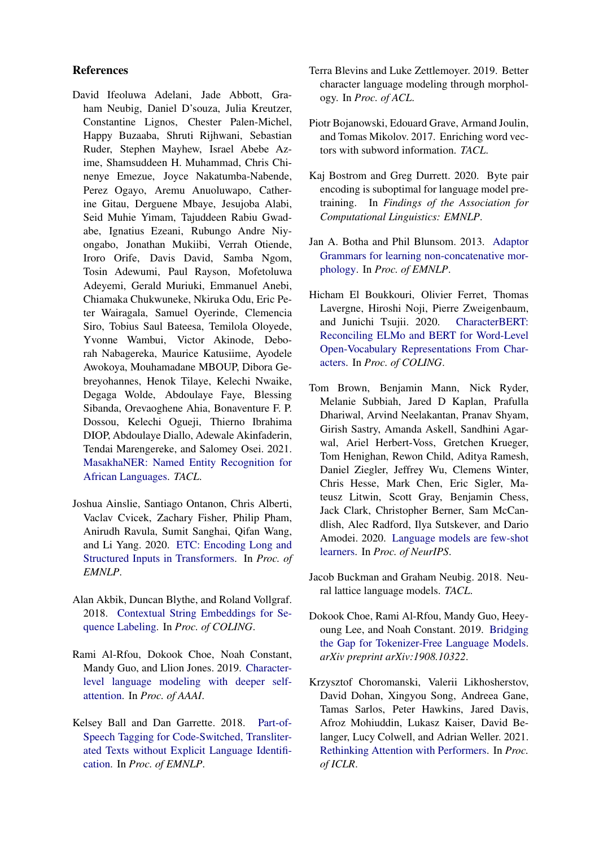# References

- <span id="page-12-4"></span>David Ifeoluwa Adelani, Jade Abbott, Graham Neubig, Daniel D'souza, Julia Kreutzer, Constantine Lignos, Chester Palen-Michel, Happy Buzaaba, Shruti Rijhwani, Sebastian Ruder, Stephen Mayhew, Israel Abebe Azime, Shamsuddeen H. Muhammad, Chris Chinenye Emezue, Joyce Nakatumba-Nabende, Perez Ogayo, Aremu Anuoluwapo, Catherine Gitau, Derguene Mbaye, Jesujoba Alabi, Seid Muhie Yimam, Tajuddeen Rabiu Gwadabe, Ignatius Ezeani, Rubungo Andre Niyongabo, Jonathan Mukiibi, Verrah Otiende, Iroro Orife, Davis David, Samba Ngom, Tosin Adewumi, Paul Rayson, Mofetoluwa Adeyemi, Gerald Muriuki, Emmanuel Anebi, Chiamaka Chukwuneke, Nkiruka Odu, Eric Peter Wairagala, Samuel Oyerinde, Clemencia Siro, Tobius Saul Bateesa, Temilola Oloyede, Yvonne Wambui, Victor Akinode, Deborah Nabagereka, Maurice Katusiime, Ayodele Awokoya, Mouhamadane MBOUP, Dibora Gebreyohannes, Henok Tilaye, Kelechi Nwaike, Degaga Wolde, Abdoulaye Faye, Blessing Sibanda, Orevaoghene Ahia, Bonaventure F. P. Dossou, Kelechi Ogueji, Thierno Ibrahima DIOP, Abdoulaye Diallo, Adewale Akinfaderin, Tendai Marengereke, and Salomey Osei. 2021. [MasakhaNER: Named Entity Recognition for](https://doi.org/10.1162/tacl_a_00416) [African Languages.](https://doi.org/10.1162/tacl_a_00416) *TACL*.
- <span id="page-12-3"></span>Joshua Ainslie, Santiago Ontanon, Chris Alberti, Vaclav Cvicek, Zachary Fisher, Philip Pham, Anirudh Ravula, Sumit Sanghai, Qifan Wang, and Li Yang. 2020. [ETC: Encoding Long and](http://arxiv.org/abs/2004.08483) [Structured Inputs in Transformers.](http://arxiv.org/abs/2004.08483) In *Proc. of EMNLP*.
- <span id="page-12-11"></span>Alan Akbik, Duncan Blythe, and Roland Vollgraf. 2018. [Contextual String Embeddings for Se](https://github.com/zalandoresearch/flair)[quence Labeling.](https://github.com/zalandoresearch/flair) In *Proc. of COLING*.
- <span id="page-12-9"></span>Rami Al-Rfou, Dokook Choe, Noah Constant, Mandy Guo, and Llion Jones. 2019. [Character](https://doi.org/10.1609/aaai.v33i01.33013159)[level language modeling with deeper self](https://doi.org/10.1609/aaai.v33i01.33013159)[attention.](https://doi.org/10.1609/aaai.v33i01.33013159) In *Proc. of AAAI*.
- <span id="page-12-12"></span>Kelsey Ball and Dan Garrette. 2018. [Part-of-](https://doi.org/10.18653/v1/D18-1347)[Speech Tagging for Code-Switched, Transliter](https://doi.org/10.18653/v1/D18-1347)[ated Texts without Explicit Language Identifi](https://doi.org/10.18653/v1/D18-1347)[cation.](https://doi.org/10.18653/v1/D18-1347) In *Proc. of EMNLP*.
- <span id="page-12-8"></span>Terra Blevins and Luke Zettlemoyer. 2019. Better character language modeling through morphology. In *Proc. of ACL*.
- <span id="page-12-6"></span>Piotr Bojanowski, Edouard Grave, Armand Joulin, and Tomas Mikolov. 2017. Enriching word vectors with subword information. *TACL*.
- <span id="page-12-5"></span>Kaj Bostrom and Greg Durrett. 2020. Byte pair encoding is suboptimal for language model pretraining. In *Findings of the Association for Computational Linguistics: EMNLP*.
- <span id="page-12-13"></span>Jan A. Botha and Phil Blunsom. 2013. [Adaptor](https://www.aclweb.org/anthology/D13-1034) [Grammars for learning non-concatenative mor](https://www.aclweb.org/anthology/D13-1034)[phology.](https://www.aclweb.org/anthology/D13-1034) In *Proc. of EMNLP*.
- <span id="page-12-1"></span>Hicham El Boukkouri, Olivier Ferret, Thomas Lavergne, Hiroshi Noji, Pierre Zweigenbaum, and Junichi Tsujii. 2020. [CharacterBERT:](http://arxiv.org/abs/2010.10392) [Reconciling ELMo and BERT for Word-Level](http://arxiv.org/abs/2010.10392) [Open-Vocabulary Representations From Char](http://arxiv.org/abs/2010.10392)[acters.](http://arxiv.org/abs/2010.10392) In *Proc. of COLING*.
- <span id="page-12-0"></span>Tom Brown, Benjamin Mann, Nick Ryder, Melanie Subbiah, Jared D Kaplan, Prafulla Dhariwal, Arvind Neelakantan, Pranav Shyam, Girish Sastry, Amanda Askell, Sandhini Agarwal, Ariel Herbert-Voss, Gretchen Krueger, Tom Henighan, Rewon Child, Aditya Ramesh, Daniel Ziegler, Jeffrey Wu, Clemens Winter, Chris Hesse, Mark Chen, Eric Sigler, Mateusz Litwin, Scott Gray, Benjamin Chess, Jack Clark, Christopher Berner, Sam McCandlish, Alec Radford, Ilya Sutskever, and Dario Amodei. 2020. [Language models are few-shot](https://proceedings.neurips.cc/paper/2020/file/1457c0d6bfcb4967418bfb8ac142f64a-Paper.pdf) [learners.](https://proceedings.neurips.cc/paper/2020/file/1457c0d6bfcb4967418bfb8ac142f64a-Paper.pdf) In *Proc. of NeurIPS*.
- <span id="page-12-7"></span>Jacob Buckman and Graham Neubig. 2018. Neural lattice language models. *TACL*.
- <span id="page-12-10"></span>Dokook Choe, Rami Al-Rfou, Mandy Guo, Heeyoung Lee, and Noah Constant. 2019. [Bridging](http://arxiv.org/abs/1908.10322) [the Gap for Tokenizer-Free Language Models.](http://arxiv.org/abs/1908.10322) *arXiv preprint arXiv:1908.10322*.
- <span id="page-12-2"></span>Krzysztof Choromanski, Valerii Likhosherstov, David Dohan, Xingyou Song, Andreea Gane, Tamas Sarlos, Peter Hawkins, Jared Davis, Afroz Mohiuddin, Lukasz Kaiser, David Belanger, Lucy Colwell, and Adrian Weller. 2021. [Rethinking Attention with Performers.](https://openreview.net/forum?id=Ua6zuk0WRH) In *Proc. of ICLR*.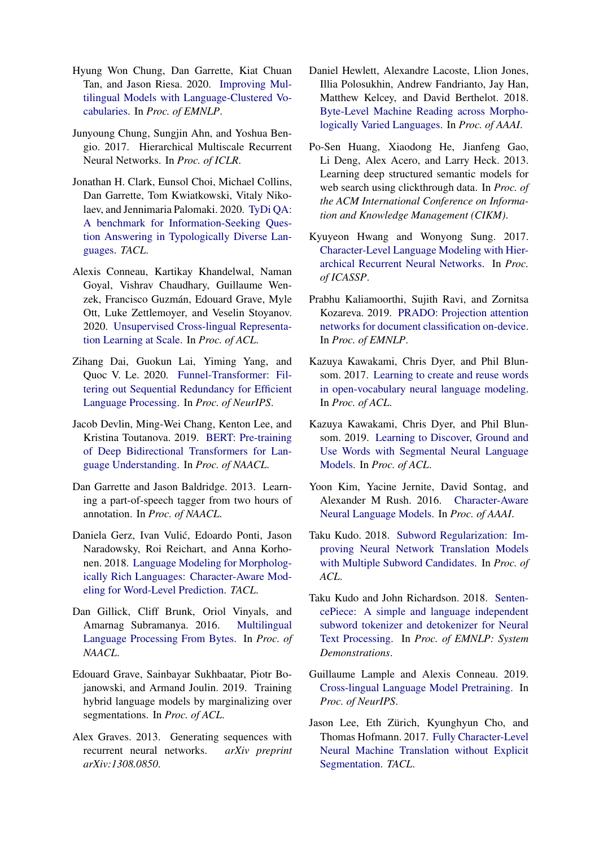- <span id="page-13-21"></span>Hyung Won Chung, Dan Garrette, Kiat Chuan Tan, and Jason Riesa. 2020. [Improving Mul](http://arxiv.org/abs/2010.12777)[tilingual Models with Language-Clustered Vo](http://arxiv.org/abs/2010.12777)[cabularies.](http://arxiv.org/abs/2010.12777) In *Proc. of EMNLP*.
- <span id="page-13-10"></span>Junyoung Chung, Sungjin Ahn, and Yoshua Bengio. 2017. Hierarchical Multiscale Recurrent Neural Networks. In *Proc. of ICLR*.
- <span id="page-13-4"></span>Jonathan H. Clark, Eunsol Choi, Michael Collins, Dan Garrette, Tom Kwiatkowski, Vitaly Nikolaev, and Jennimaria Palomaki. 2020. [TyDi QA:](https://www.mitpressjournals.org/doi/abs/10.1162/tacl_a_00317) [A benchmark for Information-Seeking Ques](https://www.mitpressjournals.org/doi/abs/10.1162/tacl_a_00317)[tion Answering in Typologically Diverse Lan](https://www.mitpressjournals.org/doi/abs/10.1162/tacl_a_00317)[guages.](https://www.mitpressjournals.org/doi/abs/10.1162/tacl_a_00317) *TACL*.
- <span id="page-13-20"></span>Alexis Conneau, Kartikay Khandelwal, Naman Goyal, Vishrav Chaudhary, Guillaume Wenzek, Francisco Guzmán, Edouard Grave, Myle Ott, Luke Zettlemoyer, and Veselin Stoyanov. 2020. [Unsupervised Cross-lingual Representa](http://arxiv.org/abs/1911.02116)[tion Learning at Scale.](http://arxiv.org/abs/1911.02116) In *Proc. of ACL*.
- <span id="page-13-2"></span>Zihang Dai, Guokun Lai, Yiming Yang, and Quoc V. Le. 2020. [Funnel-Transformer: Fil](http://arxiv.org/abs/2006.03236)[tering out Sequential Redundancy for Efficient](http://arxiv.org/abs/2006.03236) [Language Processing.](http://arxiv.org/abs/2006.03236) In *Proc. of NeurIPS*.
- <span id="page-13-1"></span>Jacob Devlin, Ming-Wei Chang, Kenton Lee, and Kristina Toutanova. 2019. [BERT: Pre-training](http://arxiv.org/abs/1810.04805) [of Deep Bidirectional Transformers for Lan](http://arxiv.org/abs/1810.04805)[guage Understanding.](http://arxiv.org/abs/1810.04805) In *Proc. of NAACL*.
- <span id="page-13-7"></span>Dan Garrette and Jason Baldridge. 2013. Learning a part-of-speech tagger from two hours of annotation. In *Proc. of NAACL*.
- <span id="page-13-12"></span>Daniela Gerz, Ivan Vulic, Edoardo Ponti, Jason ´ Naradowsky, Roi Reichart, and Anna Korhonen. 2018. [Language Modeling for Morpholog](https://doi.org/10.1162/tacl_a_00032)[ically Rich Languages: Character-Aware Mod](https://doi.org/10.1162/tacl_a_00032)[eling for Word-Level Prediction.](https://doi.org/10.1162/tacl_a_00032) *TACL*.
- <span id="page-13-17"></span>Dan Gillick, Cliff Brunk, Oriol Vinyals, and Amarnag Subramanya. 2016. [Multilingual](https://arxiv.org/pdf/1512.00103.pdf) [Language Processing From Bytes.](https://arxiv.org/pdf/1512.00103.pdf) In *Proc. of NAACL*.
- <span id="page-13-14"></span>Edouard Grave, Sainbayar Sukhbaatar, Piotr Bojanowski, and Armand Joulin. 2019. Training hybrid language models by marginalizing over segmentations. In *Proc. of ACL*.
- <span id="page-13-8"></span>Alex Graves. 2013. Generating sequences with recurrent neural networks. *arXiv preprint arXiv:1308.0850*.
- <span id="page-13-18"></span>Daniel Hewlett, Alexandre Lacoste, Llion Jones, Illia Polosukhin, Andrew Fandrianto, Jay Han, Matthew Kelcey, and David Berthelot. 2018. [Byte-Level Machine Reading across Morpho](http://goo.gl/wikireading.)[logically Varied Languages.](http://goo.gl/wikireading.) In *Proc. of AAAI*.
- <span id="page-13-6"></span>Po-Sen Huang, Xiaodong He, Jianfeng Gao, Li Deng, Alex Acero, and Larry Heck. 2013. Learning deep structured semantic models for web search using clickthrough data. In *Proc. of the ACM International Conference on Information and Knowledge Management (CIKM)*.
- <span id="page-13-9"></span>Kyuyeon Hwang and Wonyong Sung. 2017. [Character-Level Language Modeling with Hier](http://arxiv.org/abs/1609.03777v2)[archical Recurrent Neural Networks.](http://arxiv.org/abs/1609.03777v2) In *Proc. of ICASSP*.
- <span id="page-13-3"></span>Prabhu Kaliamoorthi, Sujith Ravi, and Zornitsa Kozareva. 2019. [PRADO: Projection attention](https://doi.org/10.18653/v1/D19-1506) [networks for document classification on-device.](https://doi.org/10.18653/v1/D19-1506) In *Proc. of EMNLP*.
- <span id="page-13-13"></span>Kazuya Kawakami, Chris Dyer, and Phil Blunsom. 2017. [Learning to create and reuse words](http://arxiv.org/abs/1704.06986) [in open-vocabulary neural language modeling.](http://arxiv.org/abs/1704.06986) In *Proc. of ACL*.
- <span id="page-13-15"></span>Kazuya Kawakami, Chris Dyer, and Phil Blunsom. 2019. [Learning to Discover, Ground and](http://arxiv.org/abs/1811.09353) [Use Words with Segmental Neural Language](http://arxiv.org/abs/1811.09353) [Models.](http://arxiv.org/abs/1811.09353) In *Proc. of ACL*.
- <span id="page-13-11"></span>Yoon Kim, Yacine Jernite, David Sontag, and Alexander M Rush. 2016. [Character-Aware](www.aaai.org) [Neural Language Models.](www.aaai.org) In *Proc. of AAAI*.
- <span id="page-13-5"></span>Taku Kudo. 2018. [Subword Regularization: Im](http://arxiv.org/abs/1804.10959)[proving Neural Network Translation Models](http://arxiv.org/abs/1804.10959) [with Multiple Subword Candidates.](http://arxiv.org/abs/1804.10959) In *Proc. of ACL*.
- <span id="page-13-0"></span>Taku Kudo and John Richardson. 2018. [Senten](http://arxiv.org/abs/1808.06226)[cePiece: A simple and language independent](http://arxiv.org/abs/1808.06226) [subword tokenizer and detokenizer for Neural](http://arxiv.org/abs/1808.06226) [Text Processing.](http://arxiv.org/abs/1808.06226) In *Proc. of EMNLP: System Demonstrations*.
- <span id="page-13-19"></span>Guillaume Lample and Alexis Conneau. 2019. [Cross-lingual Language Model Pretraining.](http://arxiv.org/abs/1901.07291) In *Proc. of NeurIPS*.
- <span id="page-13-16"></span>Jason Lee, Eth Zürich, Kyunghyun Cho, and Thomas Hofmann. 2017. [Fully Character-Level](http://arxiv.org/abs/1610.03017v3) [Neural Machine Translation without Explicit](http://arxiv.org/abs/1610.03017v3) [Segmentation.](http://arxiv.org/abs/1610.03017v3) *TACL*.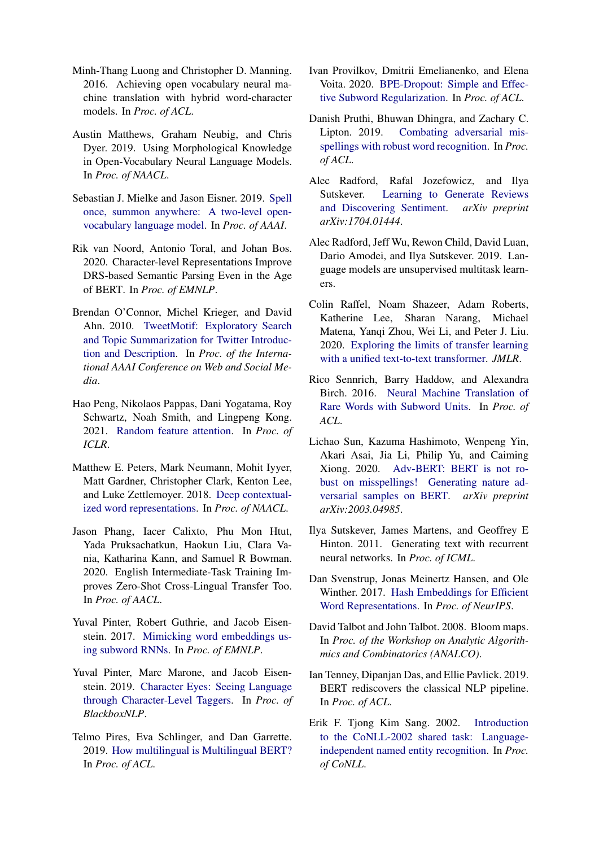- <span id="page-14-14"></span>Minh-Thang Luong and Christopher D. Manning. 2016. Achieving open vocabulary neural machine translation with hybrid word-character models. In *Proc. of ACL*.
- <span id="page-14-17"></span>Austin Matthews, Graham Neubig, and Chris Dyer. 2019. Using Morphological Knowledge in Open-Vocabulary Neural Language Models. In *Proc. of NAACL*.
- <span id="page-14-18"></span>Sebastian J. Mielke and Jason Eisner. 2019. [Spell](https://doi.org/10.1609/aaai.v33i01.33016843) [once, summon anywhere: A two-level open](https://doi.org/10.1609/aaai.v33i01.33016843)[vocabulary language model.](https://doi.org/10.1609/aaai.v33i01.33016843) In *Proc. of AAAI*.
- <span id="page-14-22"></span>Rik van Noord, Antonio Toral, and Johan Bos. 2020. Character-level Representations Improve DRS-based Semantic Parsing Even in the Age of BERT. In *Proc. of EMNLP*.
- <span id="page-14-3"></span>Brendan O'Connor, Michel Krieger, and David Ahn. 2010. [TweetMotif: Exploratory Search](http://tweetmotif.com.) [and Topic Summarization for Twitter Introduc](http://tweetmotif.com.)[tion and Description.](http://tweetmotif.com.) In *Proc. of the International AAAI Conference on Web and Social Media*.
- <span id="page-14-9"></span>Hao Peng, Nikolaos Pappas, Dani Yogatama, Roy Schwartz, Noah Smith, and Lingpeng Kong. 2021. [Random feature attention.](https://openreview.net/forum?id=QtTKTdVrFBB) In *Proc. of ICLR*.
- <span id="page-14-21"></span>Matthew E. Peters, Mark Neumann, Mohit Iyyer, Matt Gardner, Christopher Clark, Kenton Lee, and Luke Zettlemoyer. 2018. [Deep contextual](http://arxiv.org/abs/1802.05365)[ized word representations.](http://arxiv.org/abs/1802.05365) In *Proc. of NAACL*.
- <span id="page-14-11"></span>Jason Phang, Iacer Calixto, Phu Mon Htut, Yada Pruksachatkun, Haokun Liu, Clara Vania, Katharina Kann, and Samuel R Bowman. 2020. English Intermediate-Task Training Improves Zero-Shot Cross-Lingual Transfer Too. In *Proc. of AACL*.
- <span id="page-14-20"></span>Yuval Pinter, Robert Guthrie, and Jacob Eisenstein. 2017. [Mimicking word embeddings us](https://doi.org/10.18653/v1/D17-1010)[ing subword RNNs.](https://doi.org/10.18653/v1/D17-1010) In *Proc. of EMNLP*.
- <span id="page-14-19"></span>Yuval Pinter, Marc Marone, and Jacob Eisenstein. 2019. [Character Eyes: Seeing Language](http://arxiv.org/abs/1903.05041v1) [through Character-Level Taggers.](http://arxiv.org/abs/1903.05041v1) In *Proc. of BlackboxNLP*.
- <span id="page-14-12"></span>Telmo Pires, Eva Schlinger, and Dan Garrette. 2019. [How multilingual is Multilingual BERT?](https://doi.org/10.18653/v1/P19-1493) In *Proc. of ACL*.
- <span id="page-14-13"></span>Ivan Provilkov, Dmitrii Emelianenko, and Elena Voita. 2020. [BPE-Dropout: Simple and Effec](http://arxiv.org/abs/1910.13267)[tive Subword Regularization.](http://arxiv.org/abs/1910.13267) In *Proc. of ACL*.
- <span id="page-14-5"></span>Danish Pruthi, Bhuwan Dhingra, and Zachary C. Lipton. 2019. [Combating adversarial mis](http://arxiv.org/abs/1905.11268)[spellings with robust word recognition.](http://arxiv.org/abs/1905.11268) In *Proc. of ACL*.
- <span id="page-14-16"></span>Alec Radford, Rafal Jozefowicz, and Ilya Sutskever. [Learning to Generate Reviews](https://arxiv.org/abs/1704.01444) [and Discovering Sentiment.](https://arxiv.org/abs/1704.01444) *arXiv preprint arXiv:1704.01444*.
- <span id="page-14-1"></span>Alec Radford, Jeff Wu, Rewon Child, David Luan, Dario Amodei, and Ilya Sutskever. 2019. Language models are unsupervised multitask learners.
- <span id="page-14-2"></span>Colin Raffel, Noam Shazeer, Adam Roberts, Katherine Lee, Sharan Narang, Michael Matena, Yanqi Zhou, Wei Li, and Peter J. Liu. 2020. [Exploring the limits of transfer learning](http://arxiv.org/abs/1910.10683) [with a unified text-to-text transformer.](http://arxiv.org/abs/1910.10683) *JMLR*.
- <span id="page-14-0"></span>Rico Sennrich, Barry Haddow, and Alexandra Birch. 2016. [Neural Machine Translation of](http://arxiv.org/abs/arXiv:1508.07909v5) [Rare Words with Subword Units.](http://arxiv.org/abs/arXiv:1508.07909v5) In *Proc. of ACL*.
- <span id="page-14-4"></span>Lichao Sun, Kazuma Hashimoto, Wenpeng Yin, Akari Asai, Jia Li, Philip Yu, and Caiming Xiong. 2020. [Adv-BERT: BERT is not ro](http://arxiv.org/abs/2003.04985)[bust on misspellings! Generating nature ad](http://arxiv.org/abs/2003.04985)[versarial samples on BERT.](http://arxiv.org/abs/2003.04985) *arXiv preprint arXiv:2003.04985*.
- <span id="page-14-15"></span>Ilya Sutskever, James Martens, and Geoffrey E Hinton. 2011. Generating text with recurrent neural networks. In *Proc. of ICML*.
- <span id="page-14-7"></span>Dan Svenstrup, Jonas Meinertz Hansen, and Ole Winther. 2017. [Hash Embeddings for Efficient](http://arxiv.org/abs/1709.03933) [Word Representations.](http://arxiv.org/abs/1709.03933) In *Proc. of NeurIPS*.
- <span id="page-14-8"></span>David Talbot and John Talbot. 2008. Bloom maps. In *Proc. of the Workshop on Analytic Algorithmics and Combinatorics (ANALCO)*.
- <span id="page-14-6"></span>Ian Tenney, Dipanjan Das, and Ellie Pavlick. 2019. BERT rediscovers the classical NLP pipeline. In *Proc. of ACL*.
- <span id="page-14-10"></span>Erik F. Tjong Kim Sang. 2002. [Introduction](https://aclanthology.org/W02-2024) [to the CoNLL-2002 shared task: Language](https://aclanthology.org/W02-2024)[independent named entity recognition.](https://aclanthology.org/W02-2024) In *Proc. of CoNLL*.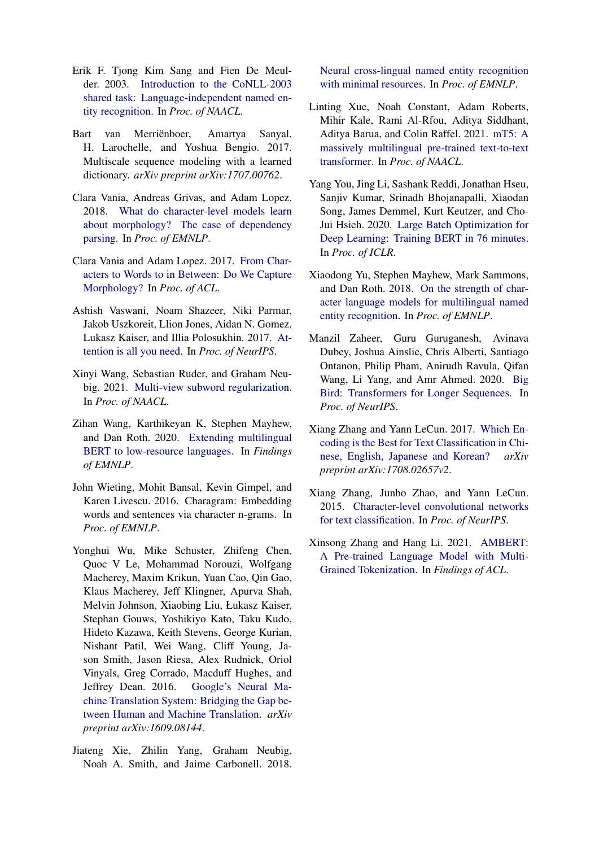- <span id="page-15-3"></span>Erik F. Tjong Kim Sang and Fien De Meulder. 2003. [Introduction to the CoNLL-2003](https://aclanthology.org/W03-0419) [shared task: Language-independent named en](https://aclanthology.org/W03-0419)[tity recognition.](https://aclanthology.org/W03-0419) In *Proc. of NAACL*.
- <span id="page-15-8"></span>Bart van Merriënboer, Amartya Sanyal, H. Larochelle, and Yoshua Bengio. 2017. Multiscale sequence modeling with a learned dictionary. *arXiv preprint arXiv:1707.00762*.
- <span id="page-15-12"></span>Clara Vania, Andreas Grivas, and Adam Lopez. 2018. [What do character-level models learn](https://doi.org/10.18653/v1/D18-1278) [about morphology? The case of dependency](https://doi.org/10.18653/v1/D18-1278) [parsing.](https://doi.org/10.18653/v1/D18-1278) In *Proc. of EMNLP*.
- <span id="page-15-14"></span>Clara Vania and Adam Lopez. 2017. [From Char](https://doi.org/10.18653/v1/P17-1184)[acters to Words to in Between: Do We Capture](https://doi.org/10.18653/v1/P17-1184) [Morphology?](https://doi.org/10.18653/v1/P17-1184) In *Proc. of ACL*.
- <span id="page-15-1"></span>Ashish Vaswani, Noam Shazeer, Niki Parmar, Jakob Uszkoreit, Llion Jones, Aidan N. Gomez, Lukasz Kaiser, and Illia Polosukhin. 2017. [At](http://arxiv.org/abs/1706.03762)[tention is all you need.](http://arxiv.org/abs/1706.03762) In *Proc. of NeurIPS*.
- <span id="page-15-5"></span>Xinyi Wang, Sebastian Ruder, and Graham Neubig. 2021. [Multi-view subword regularization.](https://aclanthology.org/2021.naacl-main.40/) In *Proc. of NAACL*.
- <span id="page-15-16"></span>Zihan Wang, Karthikeyan K, Stephen Mayhew, and Dan Roth. 2020. [Extending multilingual](https://doi.org/10.18653/v1/2020.findings-emnlp.240) [BERT to low-resource languages.](https://doi.org/10.18653/v1/2020.findings-emnlp.240) In *Findings of EMNLP*.
- <span id="page-15-7"></span>John Wieting, Mohit Bansal, Kevin Gimpel, and Karen Livescu. 2016. Charagram: Embedding words and sentences via character n-grams. In *Proc. of EMNLP*.
- <span id="page-15-0"></span>Yonghui Wu, Mike Schuster, Zhifeng Chen, Quoc V Le, Mohammad Norouzi, Wolfgang Macherey, Maxim Krikun, Yuan Cao, Qin Gao, Klaus Macherey, Jeff Klingner, Apurva Shah, Melvin Johnson, Xiaobing Liu, Łukasz Kaiser, Stephan Gouws, Yoshikiyo Kato, Taku Kudo, Hideto Kazawa, Keith Stevens, George Kurian, Nishant Patil, Wei Wang, Cliff Young, Jason Smith, Jason Riesa, Alex Rudnick, Oriol Vinyals, Greg Corrado, Macduff Hughes, and Jeffrey Dean. 2016. [Google's Neural Ma](https://arxiv.org/pdf/1609.08144.pdf)[chine Translation System: Bridging the Gap be](https://arxiv.org/pdf/1609.08144.pdf)[tween Human and Machine Translation.](https://arxiv.org/pdf/1609.08144.pdf) *arXiv preprint arXiv:1609.08144*.
- <span id="page-15-13"></span>Jiateng Xie, Zhilin Yang, Graham Neubig, Noah A. Smith, and Jaime Carbonell. 2018.

[Neural cross-lingual named entity recognition](https://doi.org/10.18653/v1/D18-1034) [with minimal resources.](https://doi.org/10.18653/v1/D18-1034) In *Proc. of EMNLP*.

- <span id="page-15-15"></span>Linting Xue, Noah Constant, Adam Roberts, Mihir Kale, Rami Al-Rfou, Aditya Siddhant, Aditya Barua, and Colin Raffel. 2021. [mT5: A](https://aclanthology.org/2021.naacl-main.41.pdf) [massively multilingual pre-trained text-to-text](https://aclanthology.org/2021.naacl-main.41.pdf) [transformer.](https://aclanthology.org/2021.naacl-main.41.pdf) In *Proc. of NAACL*.
- <span id="page-15-4"></span>Yang You, Jing Li, Sashank Reddi, Jonathan Hseu, Sanjiv Kumar, Srinadh Bhojanapalli, Xiaodan Song, James Demmel, Kurt Keutzer, and Cho-Jui Hsieh. 2020. [Large Batch Optimization for](http://arxiv.org/abs/1904.00962) [Deep Learning: Training BERT in 76 minutes.](http://arxiv.org/abs/1904.00962) In *Proc. of ICLR*.
- <span id="page-15-11"></span>Xiaodong Yu, Stephen Mayhew, Mark Sammons, and Dan Roth. 2018. [On the strength of char](https://doi.org/10.18653/v1/D18-1345)[acter language models for multilingual named](https://doi.org/10.18653/v1/D18-1345) [entity recognition.](https://doi.org/10.18653/v1/D18-1345) In *Proc. of EMNLP*.
- <span id="page-15-2"></span>Manzil Zaheer, Guru Guruganesh, Avinava Dubey, Joshua Ainslie, Chris Alberti, Santiago Ontanon, Philip Pham, Anirudh Ravula, Qifan Wang, Li Yang, and Amr Ahmed. 2020. [Big](http://arxiv.org/abs/2007.14062) [Bird: Transformers for Longer Sequences.](http://arxiv.org/abs/2007.14062) In *Proc. of NeurIPS*.
- <span id="page-15-10"></span>Xiang Zhang and Yann LeCun. 2017. [Which En](http://arxiv.org/abs/1708.02657v2)[coding is the Best for Text Classification in Chi](http://arxiv.org/abs/1708.02657v2)[nese, English, Japanese and Korean?](http://arxiv.org/abs/1708.02657v2) *arXiv preprint arXiv:1708.02657v2*.
- <span id="page-15-9"></span>Xiang Zhang, Junbo Zhao, and Yann LeCun. 2015. [Character-level convolutional networks](http://arxiv.org/abs/1509.01626) [for text classification.](http://arxiv.org/abs/1509.01626) In *Proc. of NeurIPS*.
- <span id="page-15-6"></span>Xinsong Zhang and Hang Li. 2021. [AMBERT:](https://aclanthology.org/2021.findings-acl.37.pdf) [A Pre-trained Language Model with Multi-](https://aclanthology.org/2021.findings-acl.37.pdf)[Grained Tokenization.](https://aclanthology.org/2021.findings-acl.37.pdf) In *Findings of ACL*.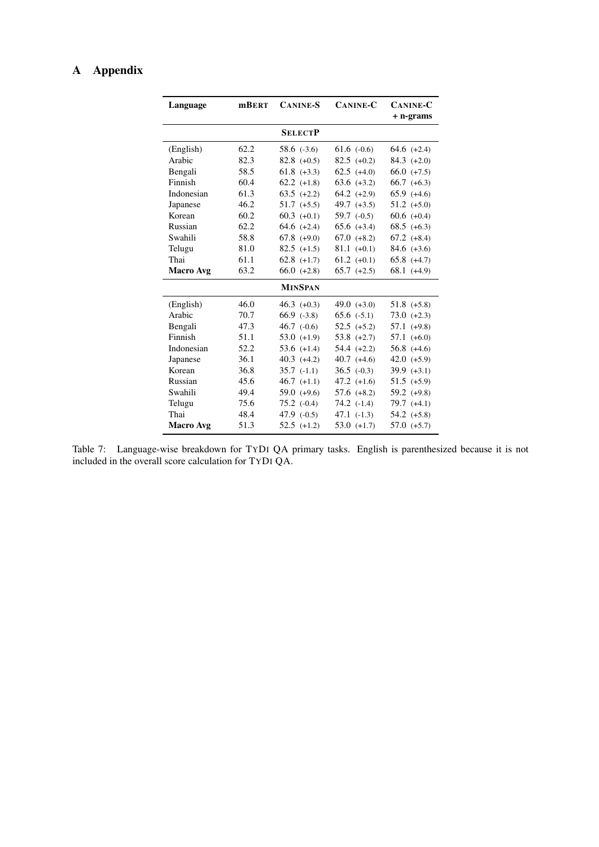# A Appendix

| Language         | <b>mBERT</b> | <b>CANINE-S</b> | <b>CANINE-C</b> | <b>CANINE-C</b><br>+ n-grams |
|------------------|--------------|-----------------|-----------------|------------------------------|
|                  |              | <b>SELECTP</b>  |                 |                              |
| (English)        | 62.2         | $58.6$ $(-3.6)$ | $61.6$ (-0.6)   | $64.6 (+2.4)$                |
| Arabic           | 82.3         | $82.8 (+0.5)$   | $82.5 (+0.2)$   | $84.3 (+2.0)$                |
| Bengali          | 58.5         | $61.8 (+3.3)$   | $62.5 (+4.0)$   | $66.0 (+7.5)$                |
| Finnish          | 60.4         | $62.2$ $(+1.8)$ | $63.6 (+3.2)$   | $66.7 (+6.3)$                |
| Indonesian       | 61.3         | $63.5 (+2.2)$   | $64.2 (+2.9)$   | $65.9(+4.6)$                 |
| Japanese         | 46.2         | $51.7$ $(+5.5)$ | 49.7 $(+3.5)$   | $51.2 (+5.0)$                |
| Korean           | 60.2         | $60.3 (+0.1)$   | $59.7$ (-0.5)   | $60.6 (+0.4)$                |
| Russian          | 62.2         | $64.6 (+2.4)$   | $65.6 (+3.4)$   | $68.5 (+6.3)$                |
| Swahili          | 58.8         | $67.8(+9.0)$    | $67.0 (+8.2)$   | $67.2 (+8.4)$                |
| Telugu           | 81.0         | $82.5$ (+1.5)   | $81.1 (+0.1)$   | $84.6 (+3.6)$                |
| Thai             | 61.1         | $62.8$ $(+1.7)$ | $61.2 (+0.1)$   | $65.8(+4.7)$                 |
| <b>Macro Avg</b> | 63.2         | $66.0 (+2.8)$   | $65.7$ $(+2.5)$ | $68.1 (+4.9)$                |
|                  |              | <b>MINSPAN</b>  |                 |                              |
| (English)        | 46.0         | $46.3 (+0.3)$   | 49.0 $(+3.0)$   | $51.8 (+5.8)$                |
| Arabic           | 70.7         | $66.9$ $(-3.8)$ | $65.6$ $(-5.1)$ | $73.0 (+2.3)$                |
| Bengali          | 47.3         | $46.7$ (-0.6)   | $52.5 (+5.2)$   | $57.1 (+9.8)$                |
| Finnish          | 51.1         | $53.0 (+1.9)$   | $53.8 (+2.7)$   | $57.1 (+6.0)$                |
| Indonesian       | 52.2         | 53.6 $(+1.4)$   | $54.4 (+2.2)$   | $56.8 (+4.6)$                |
| Japanese         | 36.1         | $40.3$ $(+4.2)$ | $40.7(+4.6)$    | $42.0 (+5.9)$                |
| Korean           | 36.8         | $35.7$ $(-1.1)$ | $36.5$ (-0.3)   | $39.9 (+3.1)$                |
| Russian          | 45.6         | $46.7$ $(+1.1)$ | $47.2 (+1.6)$   | $51.5 (+5.9)$                |
| Swahili          | 49.4         | 59.0 $(+9.6)$   | $57.6 (+8.2)$   | $59.2 (+9.8)$                |
| Telugu           | 75.6         | $75.2$ $(-0.4)$ | $74.2$ $(-1.4)$ | $79.7 (+4.1)$                |
| Thai             | 48.4         | 47.9 $(-0.5)$   | $47.1(-1.3)$    | $54.2 (+5.8)$                |
|                  |              |                 |                 |                              |

<span id="page-16-0"></span>Table 7: Language-wise breakdown for TYDI QA primary tasks. English is parenthesized because it is not included in the overall score calculation for TYDI QA.